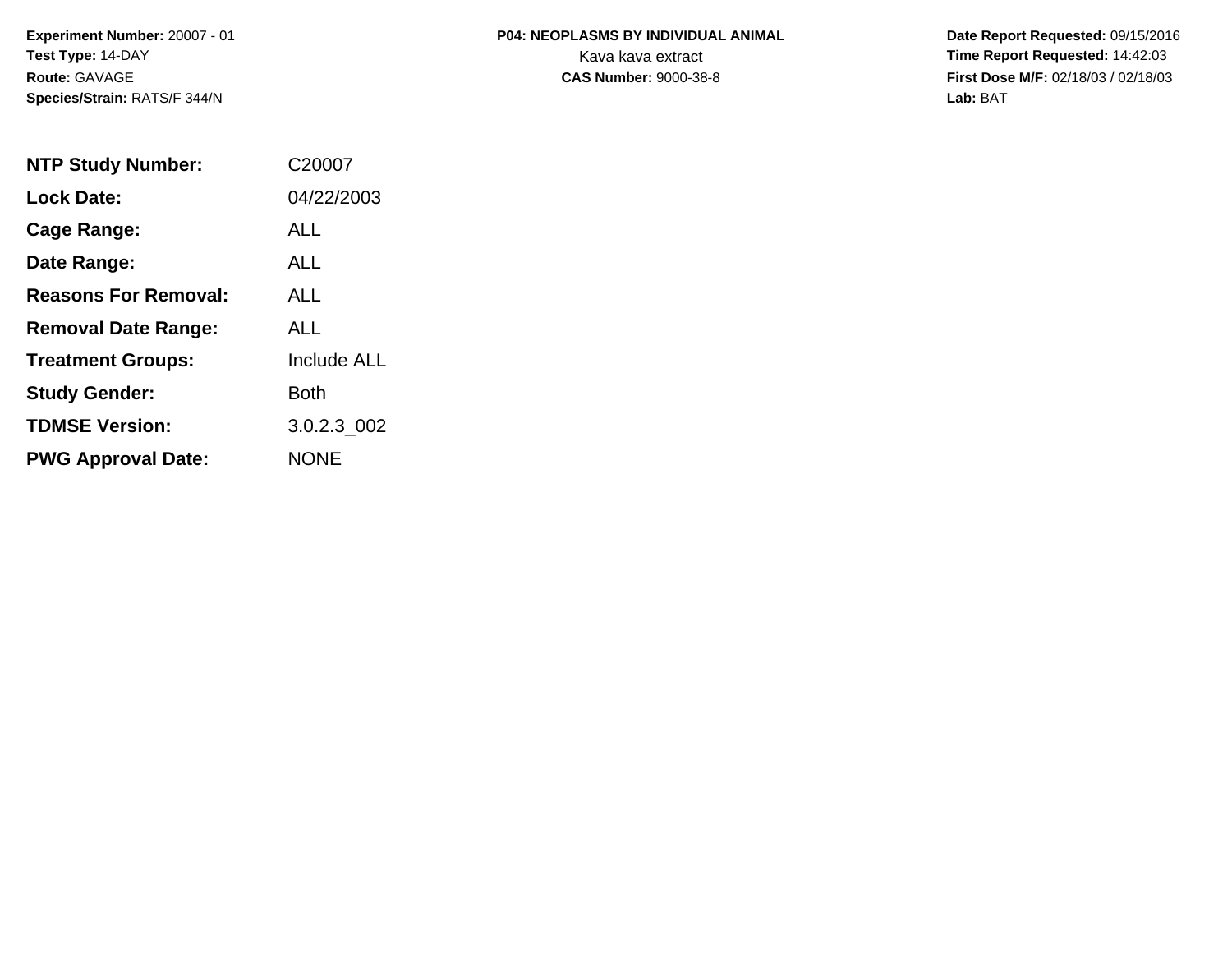# **P04: NEOPLASMS BY INDIVIDUAL ANIMAL**Kava kava extract **Time Report Requested:** 14:42:03

 **Date Report Requested:** 09/15/2016 **First Dose M/F:** 02/18/03 / 02/18/03<br>Lab: BAT **Lab:** BAT

| <b>NTP Study Number:</b>    | C20007             |
|-----------------------------|--------------------|
| <b>Lock Date:</b>           | 04/22/2003         |
| Cage Range:                 | ALL                |
| Date Range:                 | ALL.               |
| <b>Reasons For Removal:</b> | <b>ALL</b>         |
| <b>Removal Date Range:</b>  | ALL                |
| <b>Treatment Groups:</b>    | <b>Include ALL</b> |
| <b>Study Gender:</b>        | Both               |
| <b>TDMSE Version:</b>       | 3.0.2.3 002        |
| <b>PWG Approval Date:</b>   | <b>NONE</b>        |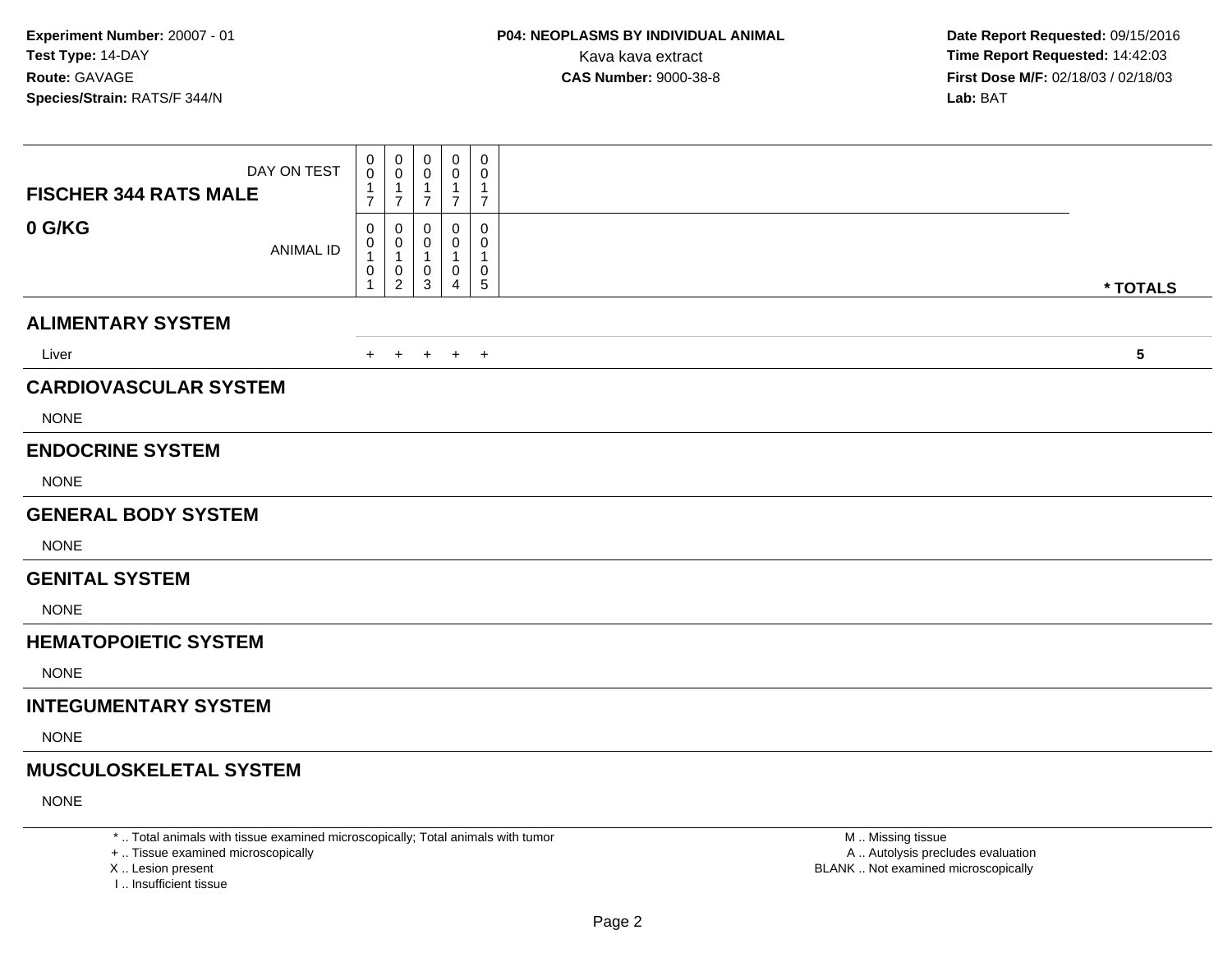| DAY ON TEST<br><b>FISCHER 344 RATS MALE</b> | 0<br>0<br>7              | 0<br>$\mathbf 0$<br>$\overline{1}$<br>$\overline{7}$ | 0<br>0<br>1<br>$\overline{7}$ | 0<br>0<br>1<br>$\overline{7}$ | 0<br>0<br>1<br>$\overline{7}$ |                         |
|---------------------------------------------|--------------------------|------------------------------------------------------|-------------------------------|-------------------------------|-------------------------------|-------------------------|
| 0 G/KG<br><b>ANIMAL ID</b>                  | 0<br>0<br>1<br>$\pmb{0}$ | 0<br>0<br>$\overline{1}$<br>0<br>$\overline{2}$      | 0<br>0<br>-1<br>0<br>3        | 0<br>0<br>1<br>0<br>4         | 0<br>0<br>0<br>5              | * TOTALS                |
| <b>ALIMENTARY SYSTEM</b>                    |                          |                                                      |                               |                               |                               |                         |
| Liver                                       | $+$                      | $+$                                                  | $+$                           | $+$ $+$                       |                               | $\overline{\mathbf{5}}$ |
| <b>CARDIOVASCULAR SYSTEM</b><br><b>NONE</b> |                          |                                                      |                               |                               |                               |                         |
| <b>ENDOCRINE SYSTEM</b><br><b>NONE</b>      |                          |                                                      |                               |                               |                               |                         |
| <b>GENERAL BODY SYSTEM</b>                  |                          |                                                      |                               |                               |                               |                         |
| <b>NONE</b>                                 |                          |                                                      |                               |                               |                               |                         |
| <b>GENITAL SYSTEM</b>                       |                          |                                                      |                               |                               |                               |                         |
| <b>NONE</b>                                 |                          |                                                      |                               |                               |                               |                         |
| <b>HEMATOPOIETIC SYSTEM</b>                 |                          |                                                      |                               |                               |                               |                         |
| <b>NONE</b>                                 |                          |                                                      |                               |                               |                               |                         |
| <b>INTEGUMENTARY SYSTEM</b>                 |                          |                                                      |                               |                               |                               |                         |
| <b>NONE</b>                                 |                          |                                                      |                               |                               |                               |                         |
| <b>MUSCULOSKELETAL SYSTEM</b>               |                          |                                                      |                               |                               |                               |                         |
| <b>NONE</b>                                 |                          |                                                      |                               |                               |                               |                         |

\* .. Total animals with tissue examined microscopically; Total animals with tumor

+ .. Tissue examined microscopically

X .. Lesion present

I .. Insufficient tissue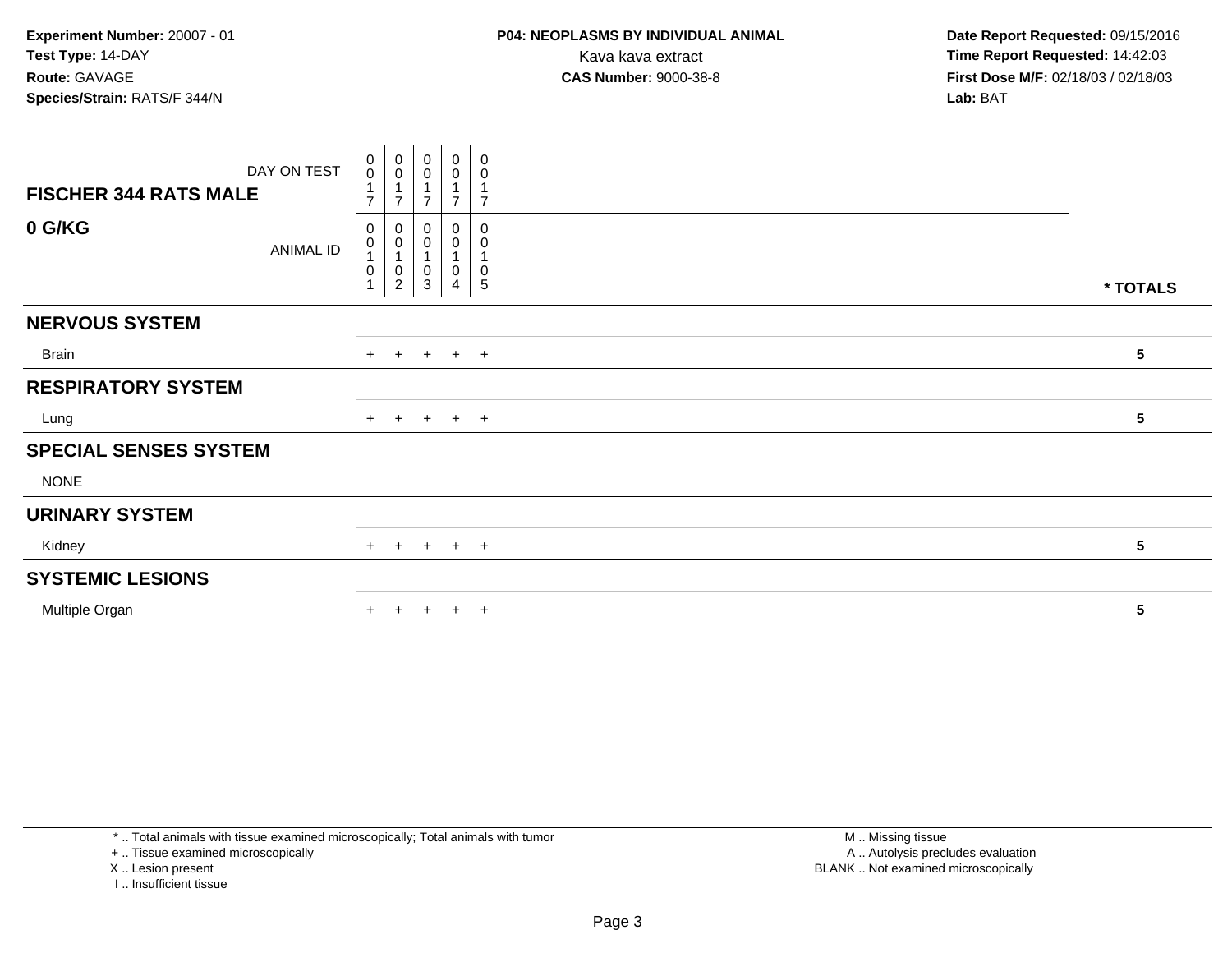| DAY ON TEST                  | $_{\rm 0}^{\rm 0}$         | $\begin{smallmatrix} 0\\0 \end{smallmatrix}$                        | 0<br>$\mathsf{O}\xspace$ | $\begin{smallmatrix} 0\\0 \end{smallmatrix}$           | 0<br>0                         |          |
|------------------------------|----------------------------|---------------------------------------------------------------------|--------------------------|--------------------------------------------------------|--------------------------------|----------|
| <b>FISCHER 344 RATS MALE</b> | $\overline{7}$             | $\mathbf{1}$<br>$\overline{ }$                                      | ⇁                        | $\overline{\phantom{a}}$                               | $\overline{7}$                 |          |
| 0 G/KG<br>ANIMAL ID          | 0<br>0<br>$\boldsymbol{0}$ | $\pmb{0}$<br>$\pmb{0}$<br>$\overline{A}$<br>$\pmb{0}$<br>$\sqrt{2}$ | 0<br>0<br>0<br>3         | $\boldsymbol{0}$<br>$\pmb{0}$<br>1<br>$\mathbf 0$<br>4 | 0<br>0<br>0<br>$5\phantom{.0}$ | * TOTALS |
| <b>NERVOUS SYSTEM</b>        |                            |                                                                     |                          |                                                        |                                |          |
| Brain                        |                            | $+$ $+$                                                             |                          | $+$ $+$ $+$                                            |                                | 5        |
| <b>RESPIRATORY SYSTEM</b>    |                            |                                                                     |                          |                                                        |                                |          |
| Lung                         |                            | $+$ $+$                                                             |                          | $+$ $+$ $+$                                            |                                | 5        |
| <b>SPECIAL SENSES SYSTEM</b> |                            |                                                                     |                          |                                                        |                                |          |
| <b>NONE</b>                  |                            |                                                                     |                          |                                                        |                                |          |
| <b>URINARY SYSTEM</b>        |                            |                                                                     |                          |                                                        |                                |          |
| Kidney                       |                            | $+$ $+$                                                             |                          | $+$ $+$ $+$                                            |                                | 5        |
| <b>SYSTEMIC LESIONS</b>      |                            |                                                                     |                          |                                                        |                                |          |
| Multiple Organ               | $+$                        | $+$                                                                 | $+$                      | $+$                                                    | $+$                            | 5        |

\* .. Total animals with tissue examined microscopically; Total animals with tumor

+ .. Tissue examined microscopically

X .. Lesion present

I .. Insufficient tissue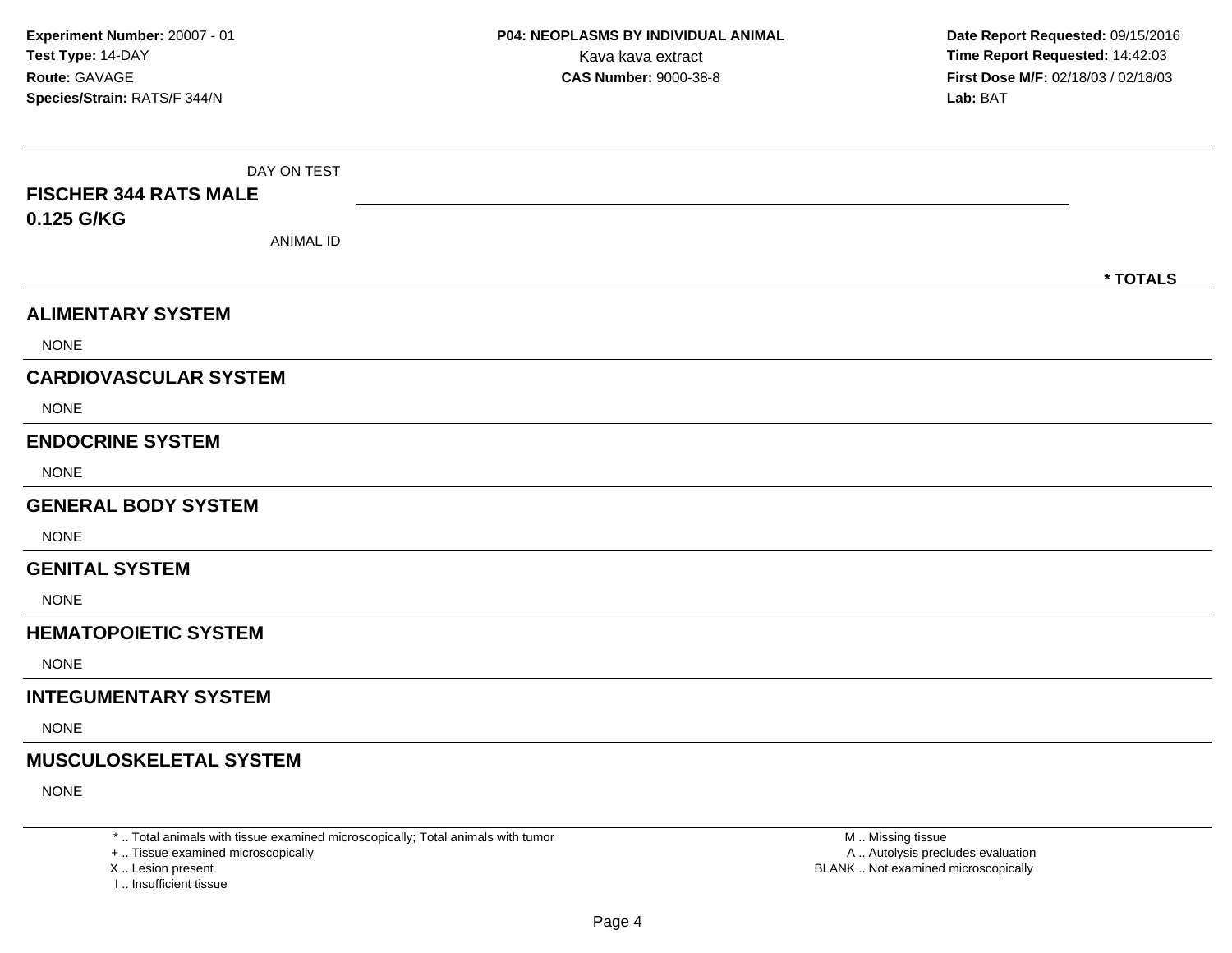| DAY ON TEST                   |          |
|-------------------------------|----------|
| <b>FISCHER 344 RATS MALE</b>  |          |
| 0.125 G/KG                    |          |
| <b>ANIMAL ID</b>              |          |
|                               | * TOTALS |
| <b>ALIMENTARY SYSTEM</b>      |          |
| <b>NONE</b>                   |          |
| <b>CARDIOVASCULAR SYSTEM</b>  |          |
| <b>NONE</b>                   |          |
| <b>ENDOCRINE SYSTEM</b>       |          |
| <b>NONE</b>                   |          |
| <b>GENERAL BODY SYSTEM</b>    |          |
| <b>NONE</b>                   |          |
| <b>GENITAL SYSTEM</b>         |          |
| <b>NONE</b>                   |          |
| <b>HEMATOPOIETIC SYSTEM</b>   |          |
| <b>NONE</b>                   |          |
| <b>INTEGUMENTARY SYSTEM</b>   |          |
| <b>NONE</b>                   |          |
| <b>MUSCULOSKELETAL SYSTEM</b> |          |
| <b>NONE</b>                   |          |

\* .. Total animals with tissue examined microscopically; Total animals with tumor

+ .. Tissue examined microscopically

X .. Lesion present

I .. Insufficient tissue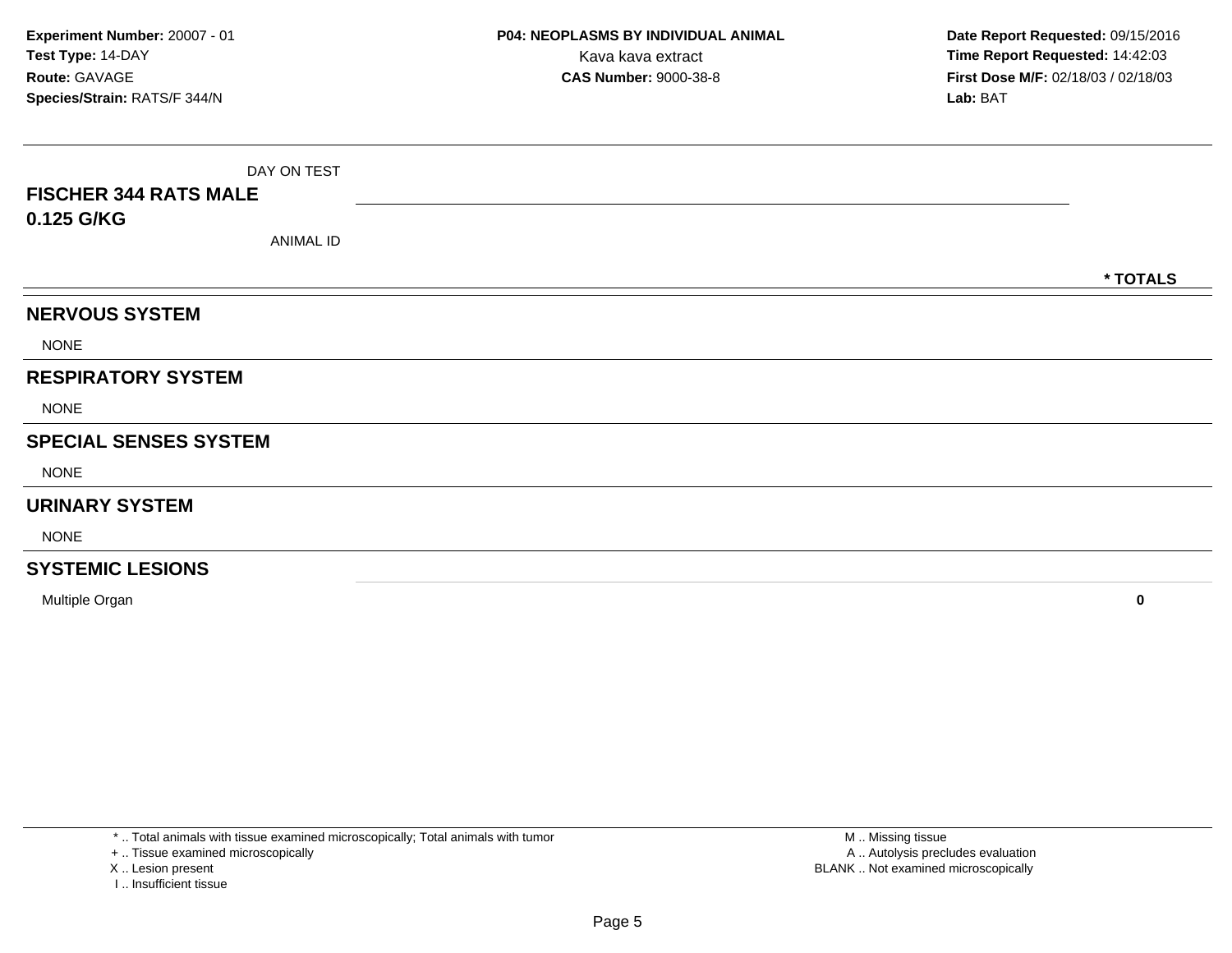|                              | DAY ON TEST |          |
|------------------------------|-------------|----------|
| <b>FISCHER 344 RATS MALE</b> |             |          |
| 0.125 G/KG                   |             |          |
|                              | ANIMAL ID   |          |
|                              |             | * TOTALS |
| <b>NERVOUS SYSTEM</b>        |             |          |
| <b>NONE</b>                  |             |          |
| <b>RESPIRATORY SYSTEM</b>    |             |          |
| <b>NONE</b>                  |             |          |
| <b>SPECIAL SENSES SYSTEM</b> |             |          |
| <b>NONE</b>                  |             |          |
| <b>URINARY SYSTEM</b>        |             |          |
| <b>NONE</b>                  |             |          |
| <b>SYSTEMIC LESIONS</b>      |             |          |

Multiple Organ**<sup>0</sup>**

\* .. Total animals with tissue examined microscopically; Total animals with tumor

+ .. Tissue examined microscopically

X .. Lesion present

I .. Insufficient tissue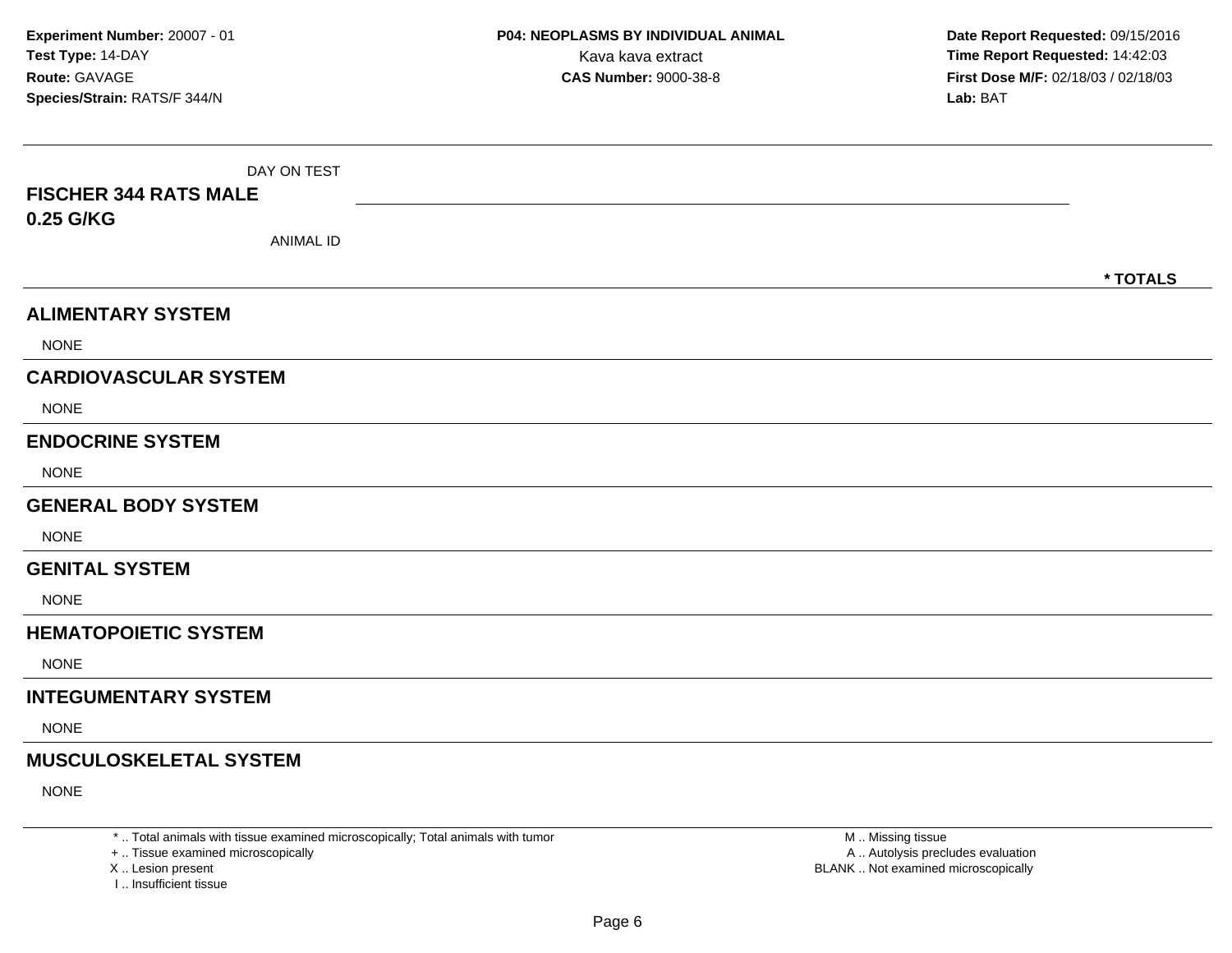| DAY ON TEST                   |          |
|-------------------------------|----------|
| <b>FISCHER 344 RATS MALE</b>  |          |
| 0.25 G/KG                     |          |
| <b>ANIMAL ID</b>              |          |
|                               | * TOTALS |
| <b>ALIMENTARY SYSTEM</b>      |          |
| <b>NONE</b>                   |          |
| <b>CARDIOVASCULAR SYSTEM</b>  |          |
| <b>NONE</b>                   |          |
| <b>ENDOCRINE SYSTEM</b>       |          |
| <b>NONE</b>                   |          |
| <b>GENERAL BODY SYSTEM</b>    |          |
| <b>NONE</b>                   |          |
| <b>GENITAL SYSTEM</b>         |          |
| <b>NONE</b>                   |          |
| <b>HEMATOPOIETIC SYSTEM</b>   |          |
| <b>NONE</b>                   |          |
| <b>INTEGUMENTARY SYSTEM</b>   |          |
| <b>NONE</b>                   |          |
| <b>MUSCULOSKELETAL SYSTEM</b> |          |
| <b>NONE</b>                   |          |

\* .. Total animals with tissue examined microscopically; Total animals with tumor

+ .. Tissue examined microscopically

X .. Lesion present

I .. Insufficient tissue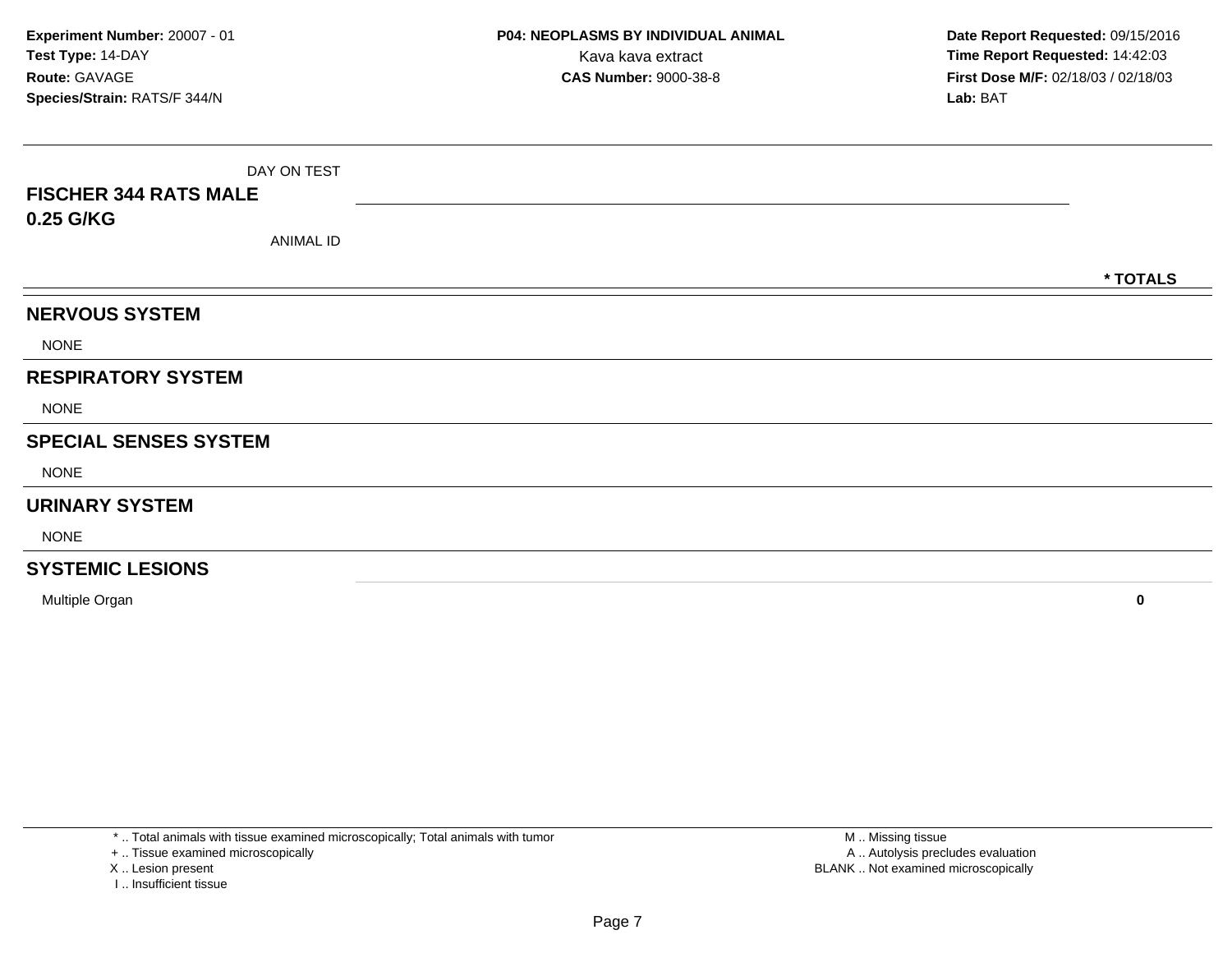| <b>FISCHER 344 RATS MALE</b> | DAY ON TEST |  |          |  |  |  |  |  |  |  |
|------------------------------|-------------|--|----------|--|--|--|--|--|--|--|
| 0.25 G/KG                    | ANIMAL ID   |  |          |  |  |  |  |  |  |  |
|                              |             |  | * TOTALS |  |  |  |  |  |  |  |
| <b>NERVOUS SYSTEM</b>        |             |  |          |  |  |  |  |  |  |  |
| <b>NONE</b>                  |             |  |          |  |  |  |  |  |  |  |
| <b>RESPIRATORY SYSTEM</b>    |             |  |          |  |  |  |  |  |  |  |
| <b>NONE</b>                  |             |  |          |  |  |  |  |  |  |  |
| <b>SPECIAL SENSES SYSTEM</b> |             |  |          |  |  |  |  |  |  |  |
| <b>NONE</b>                  |             |  |          |  |  |  |  |  |  |  |
| <b>URINARY SYSTEM</b>        |             |  |          |  |  |  |  |  |  |  |
| <b>NONE</b>                  |             |  |          |  |  |  |  |  |  |  |
| <b>SYSTEMIC LESIONS</b>      |             |  |          |  |  |  |  |  |  |  |

**<sup>0</sup>**

+ .. Tissue examined microscopically

X .. Lesion present

Multiple Organ

I .. Insufficient tissue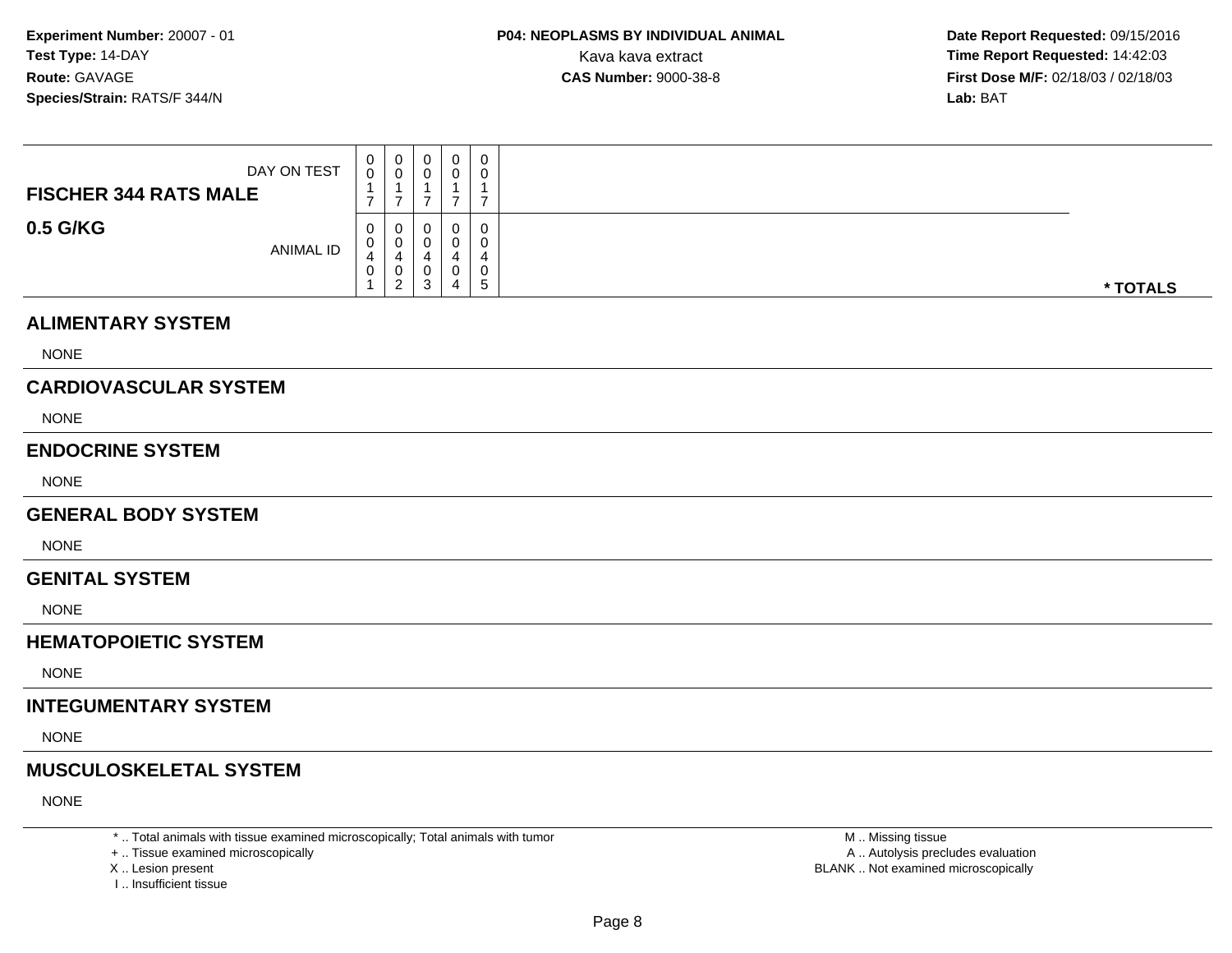**Date Report Requested:** 09/15/2016 **First Dose M/F:** 02/18/03 / 02/18/03<br>**Lab:** BAT **Lab:** BAT

| DAY ON TEST<br><b>FISCHER 344 RATS MALE</b> | U<br>◡<br>-      | ◡                       | v<br>u      | 0<br>O            | 0<br>υ<br>-      |          |
|---------------------------------------------|------------------|-------------------------|-------------|-------------------|------------------|----------|
| 0.5 G/KG<br>ANIMAL ID                       | U<br>◡<br>4<br>U | ັ<br>4<br>ັ<br><u>_</u> | u<br>u<br>3 | 0<br>0<br>д.<br>4 | 0<br>4<br>◡<br>5 | * TOTALS |

#### **ALIMENTARY SYSTEM**

NONE

## **CARDIOVASCULAR SYSTEM**

NONE

#### **ENDOCRINE SYSTEM**

NONE

#### **GENERAL BODY SYSTEM**

NONE

#### **GENITAL SYSTEM**

NONE

# **HEMATOPOIETIC SYSTEM**

NONE

## **INTEGUMENTARY SYSTEM**

NONE

# **MUSCULOSKELETAL SYSTEM**

NONE

\* .. Total animals with tissue examined microscopically; Total animals with tumor

+ .. Tissue examined microscopically

- X .. Lesion present
- I .. Insufficient tissue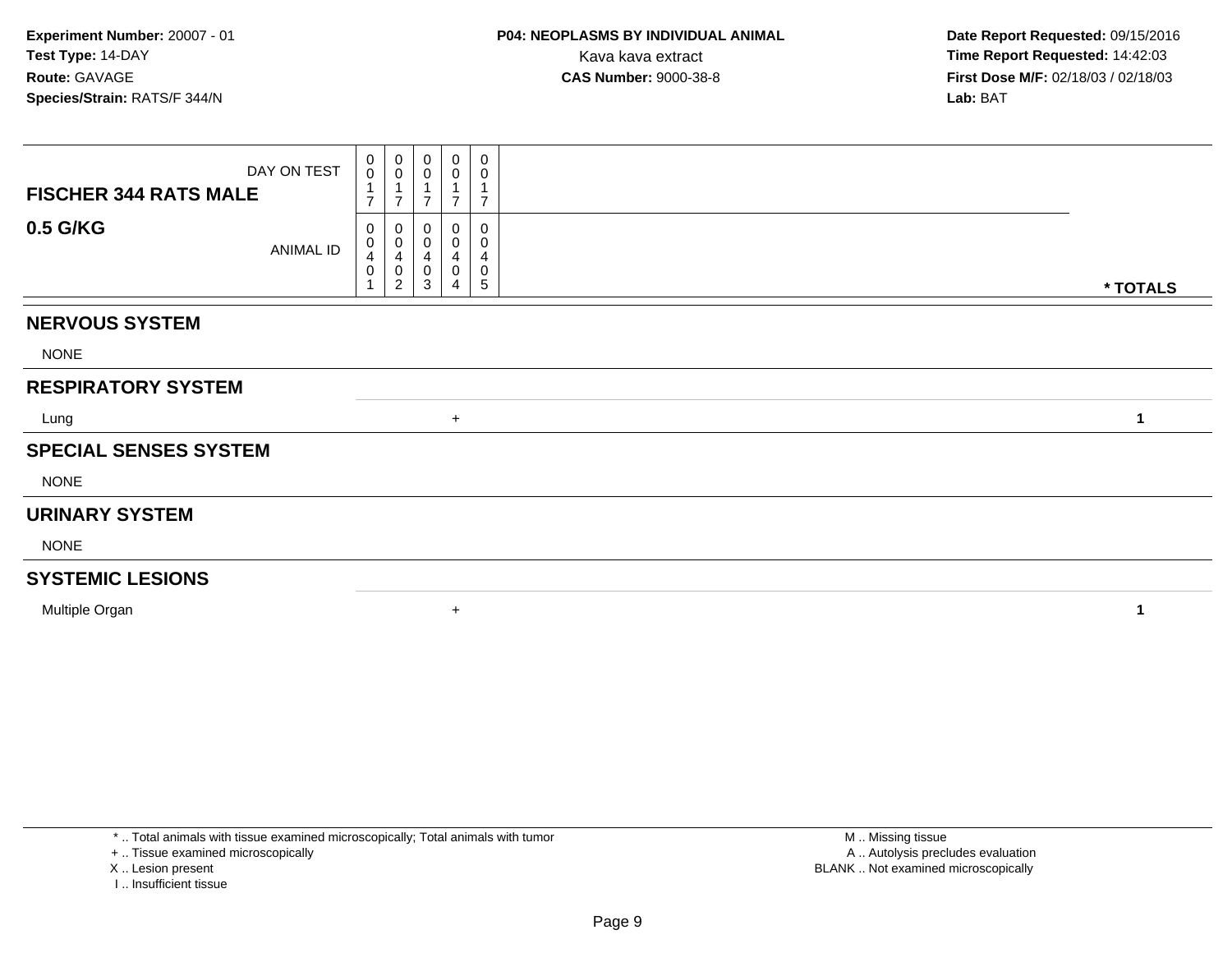| DAY ON TEST<br><b>FISCHER 344 RATS MALE</b> | 0<br>$\boldsymbol{0}$<br>$\overline{\phantom{a}}$ | $\begin{smallmatrix}0\\0\end{smallmatrix}$<br>$\overline{7}$             | $\begin{smallmatrix}0\0\0\end{smallmatrix}$<br>$\overline{A}$<br>$\overline{ }$ | 0<br>0           | $\mathbf 0$<br>$\pmb{0}$<br>$\overline{7}$                   |              |
|---------------------------------------------|---------------------------------------------------|--------------------------------------------------------------------------|---------------------------------------------------------------------------------|------------------|--------------------------------------------------------------|--------------|
| 0.5 G/KG<br>ANIMAL ID                       | 0<br>0<br>$\overline{4}$<br>0                     | 0<br>$\pmb{0}$<br>$\overline{\mathbf{4}}$<br>$\pmb{0}$<br>$\overline{2}$ | 0<br>$\mathbf 0$<br>$\overline{\mathbf{4}}$<br>$\pmb{0}$<br>$\mathbf{3}$        | 0<br>4<br>0<br>4 | 0<br>0<br>$\overline{\mathbf{4}}$<br>$\pmb{0}$<br>$\sqrt{5}$ | * TOTALS     |
| <b>NERVOUS SYSTEM</b>                       |                                                   |                                                                          |                                                                                 |                  |                                                              |              |
| <b>NONE</b>                                 |                                                   |                                                                          |                                                                                 |                  |                                                              |              |
| <b>RESPIRATORY SYSTEM</b>                   |                                                   |                                                                          |                                                                                 |                  |                                                              |              |
| Lung                                        |                                                   |                                                                          |                                                                                 | $+$              |                                                              | $\mathbf{1}$ |
| <b>SPECIAL SENSES SYSTEM</b>                |                                                   |                                                                          |                                                                                 |                  |                                                              |              |
| <b>NONE</b>                                 |                                                   |                                                                          |                                                                                 |                  |                                                              |              |
| <b>URINARY SYSTEM</b>                       |                                                   |                                                                          |                                                                                 |                  |                                                              |              |
| <b>NONE</b>                                 |                                                   |                                                                          |                                                                                 |                  |                                                              |              |
| <b>SYSTEMIC LESIONS</b>                     |                                                   |                                                                          |                                                                                 |                  |                                                              |              |
| Multiple Organ                              |                                                   |                                                                          |                                                                                 | $\ddot{}$        |                                                              | 1            |

+ .. Tissue examined microscopically

- X .. Lesion present
- I .. Insufficient tissue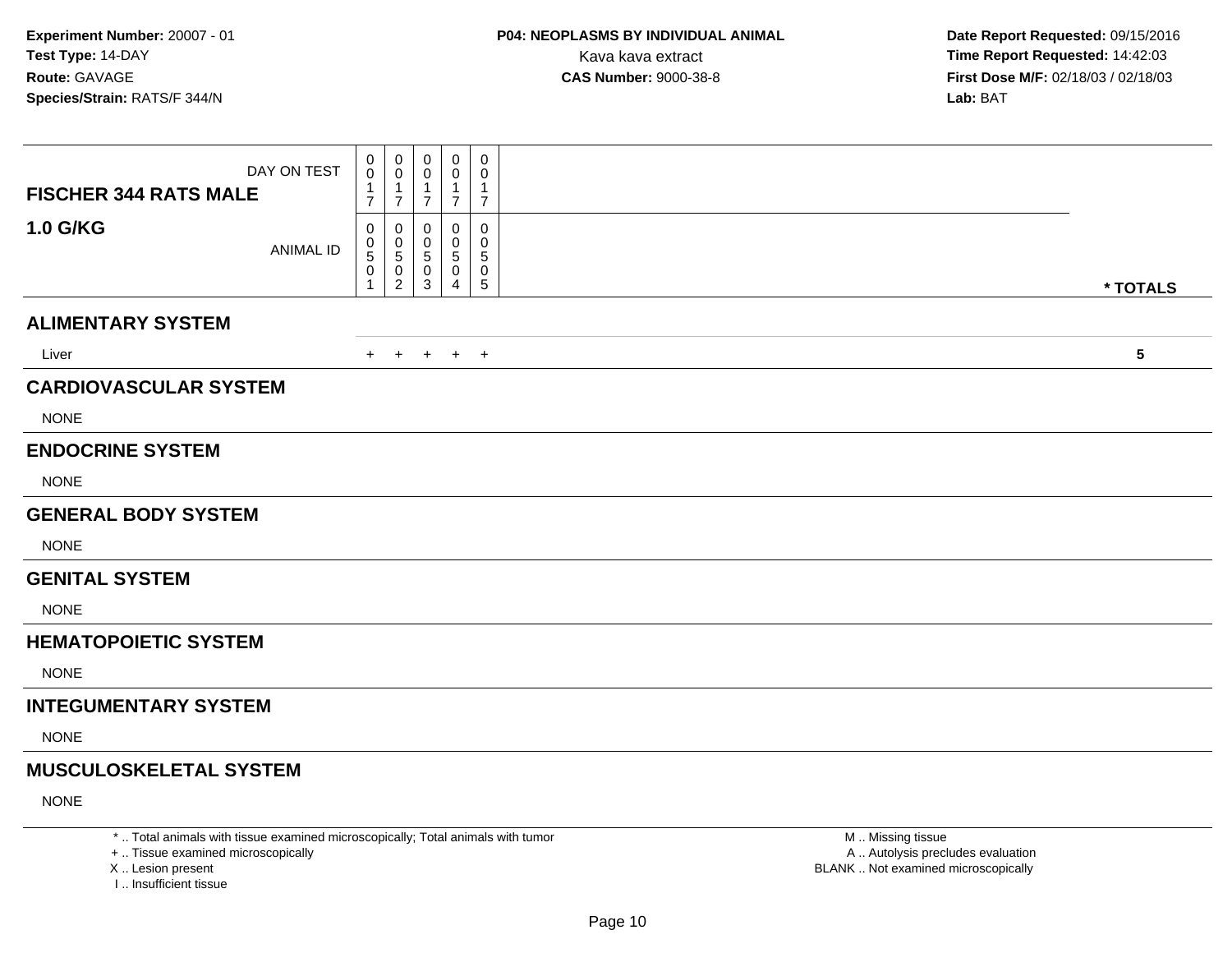| DAY ON TEST<br><b>FISCHER 344 RATS MALE</b> | 0<br>0<br>1<br>7         | 0<br>0<br>$\overline{1}$<br>$\overline{7}$          | 0<br>0<br>1<br>7               | 0<br>0<br>1<br>$\overline{7}$         | 0<br>0<br>1<br>$\overline{7}$ |            |
|---------------------------------------------|--------------------------|-----------------------------------------------------|--------------------------------|---------------------------------------|-------------------------------|------------|
| <b>1.0 G/KG</b><br><b>ANIMAL ID</b>         | 0<br>0<br>5<br>$\pmb{0}$ | 0<br>0<br>$\sqrt{5}$<br>$\pmb{0}$<br>$\overline{2}$ | 0<br>0<br>$\sqrt{5}$<br>0<br>3 | $\Omega$<br>0<br>$\sqrt{5}$<br>0<br>4 | 0<br>0<br>5<br>0<br>5         | * TOTALS   |
| <b>ALIMENTARY SYSTEM</b>                    |                          |                                                     |                                |                                       |                               |            |
| Liver                                       | $+$                      | $\overline{+}$                                      | $\ddot{}$                      | $+$ $+$                               |                               | $\sqrt{5}$ |
| <b>CARDIOVASCULAR SYSTEM</b>                |                          |                                                     |                                |                                       |                               |            |
| <b>NONE</b>                                 |                          |                                                     |                                |                                       |                               |            |
| <b>ENDOCRINE SYSTEM</b>                     |                          |                                                     |                                |                                       |                               |            |
| <b>NONE</b>                                 |                          |                                                     |                                |                                       |                               |            |
| <b>GENERAL BODY SYSTEM</b>                  |                          |                                                     |                                |                                       |                               |            |
| <b>NONE</b>                                 |                          |                                                     |                                |                                       |                               |            |
| <b>GENITAL SYSTEM</b>                       |                          |                                                     |                                |                                       |                               |            |
| <b>NONE</b>                                 |                          |                                                     |                                |                                       |                               |            |
| <b>HEMATOPOIETIC SYSTEM</b>                 |                          |                                                     |                                |                                       |                               |            |
| <b>NONE</b>                                 |                          |                                                     |                                |                                       |                               |            |
| <b>INTEGUMENTARY SYSTEM</b>                 |                          |                                                     |                                |                                       |                               |            |
| <b>NONE</b>                                 |                          |                                                     |                                |                                       |                               |            |
| <b>MUSCULOSKELETAL SYSTEM</b>               |                          |                                                     |                                |                                       |                               |            |
| <b>NONE</b>                                 |                          |                                                     |                                |                                       |                               |            |

\* .. Total animals with tissue examined microscopically; Total animals with tumor

+ .. Tissue examined microscopically

X .. Lesion present

I .. Insufficient tissue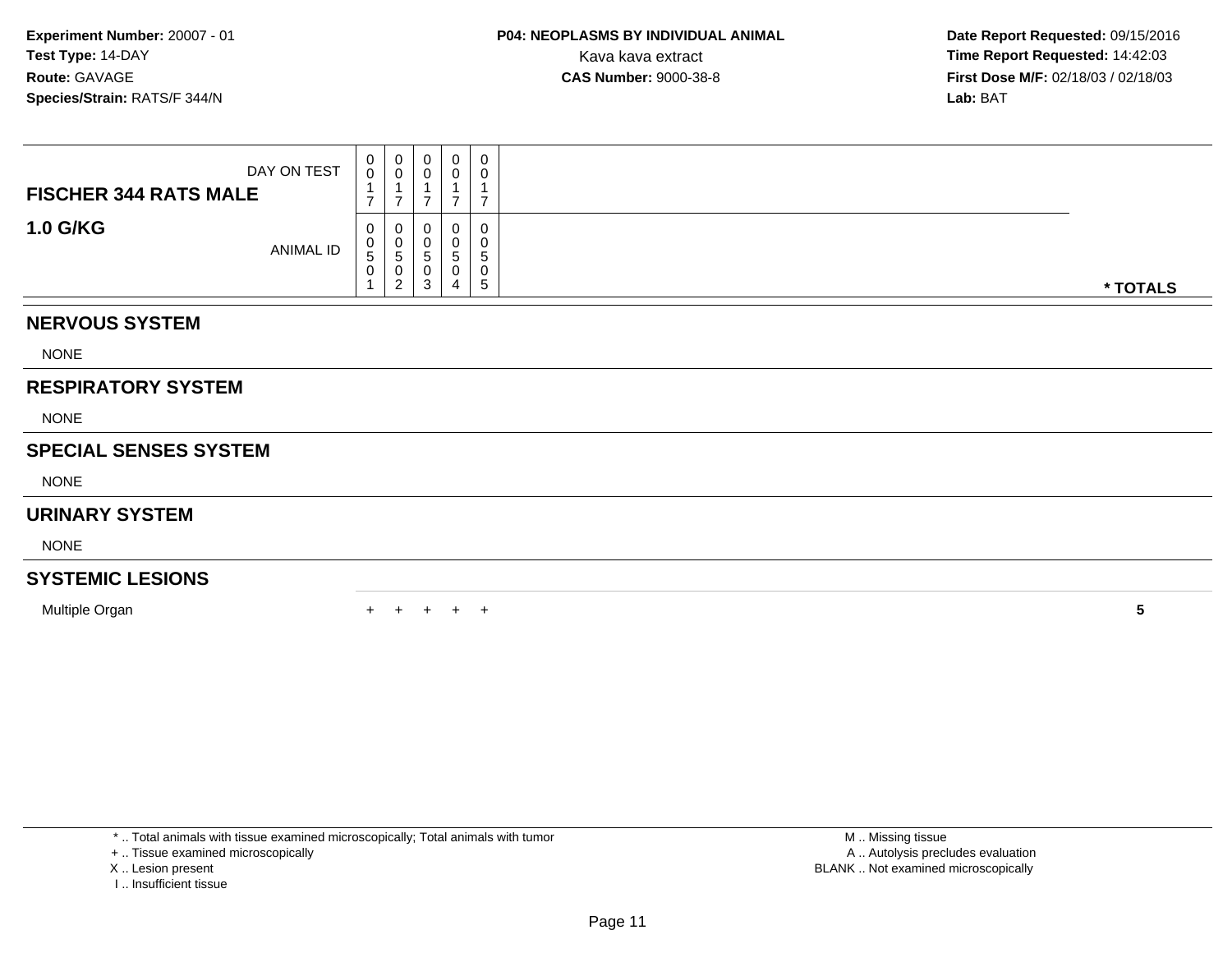| DAY ON TEST<br><b>FISCHER 344 RATS MALE</b> | $_0^0$<br>$\overline{ }$  | $\begin{smallmatrix}0\0\0\end{smallmatrix}$<br>⇁                  | $\mathbf 0$<br>$\overline{0}$<br>⇁             | $\mathbf 0$<br>0<br>$\overline{ }$ | 0<br>$\mathbf 0$<br>1<br>$\overline{7}$ |          |
|---------------------------------------------|---------------------------|-------------------------------------------------------------------|------------------------------------------------|------------------------------------|-----------------------------------------|----------|
| <b>1.0 G/KG</b><br>ANIMAL ID                | 0<br>0<br>$\sqrt{5}$<br>0 | 0<br>$\begin{array}{c} 0 \\ 5 \end{array}$<br>0<br>$\overline{2}$ | 0<br>$\pmb{0}$<br>$\sqrt{5}$<br>$\pmb{0}$<br>3 | 0<br>0<br>5<br>0<br>4              | $\pmb{0}$<br>0<br>5<br>$\mathbf 0$<br>5 | * TOTALS |
| <b>NERVOUS SYSTEM</b>                       |                           |                                                                   |                                                |                                    |                                         |          |
| <b>NONE</b>                                 |                           |                                                                   |                                                |                                    |                                         |          |
| <b>RESPIRATORY SYSTEM</b>                   |                           |                                                                   |                                                |                                    |                                         |          |
| <b>NONE</b>                                 |                           |                                                                   |                                                |                                    |                                         |          |
| <b>SPECIAL SENSES SYSTEM</b>                |                           |                                                                   |                                                |                                    |                                         |          |
| <b>NONE</b>                                 |                           |                                                                   |                                                |                                    |                                         |          |
| <b>URINARY SYSTEM</b>                       |                           |                                                                   |                                                |                                    |                                         |          |
| <b>NONE</b>                                 |                           |                                                                   |                                                |                                    |                                         |          |
| <b>SYSTEMIC LESIONS</b>                     |                           |                                                                   |                                                |                                    |                                         |          |
| Multiple Organ                              |                           |                                                                   |                                                | ÷.                                 | $\pm$                                   | 5        |

\* .. Total animals with tissue examined microscopically; Total animals with tumor

+ .. Tissue examined microscopically

- X .. Lesion present
- I .. Insufficient tissue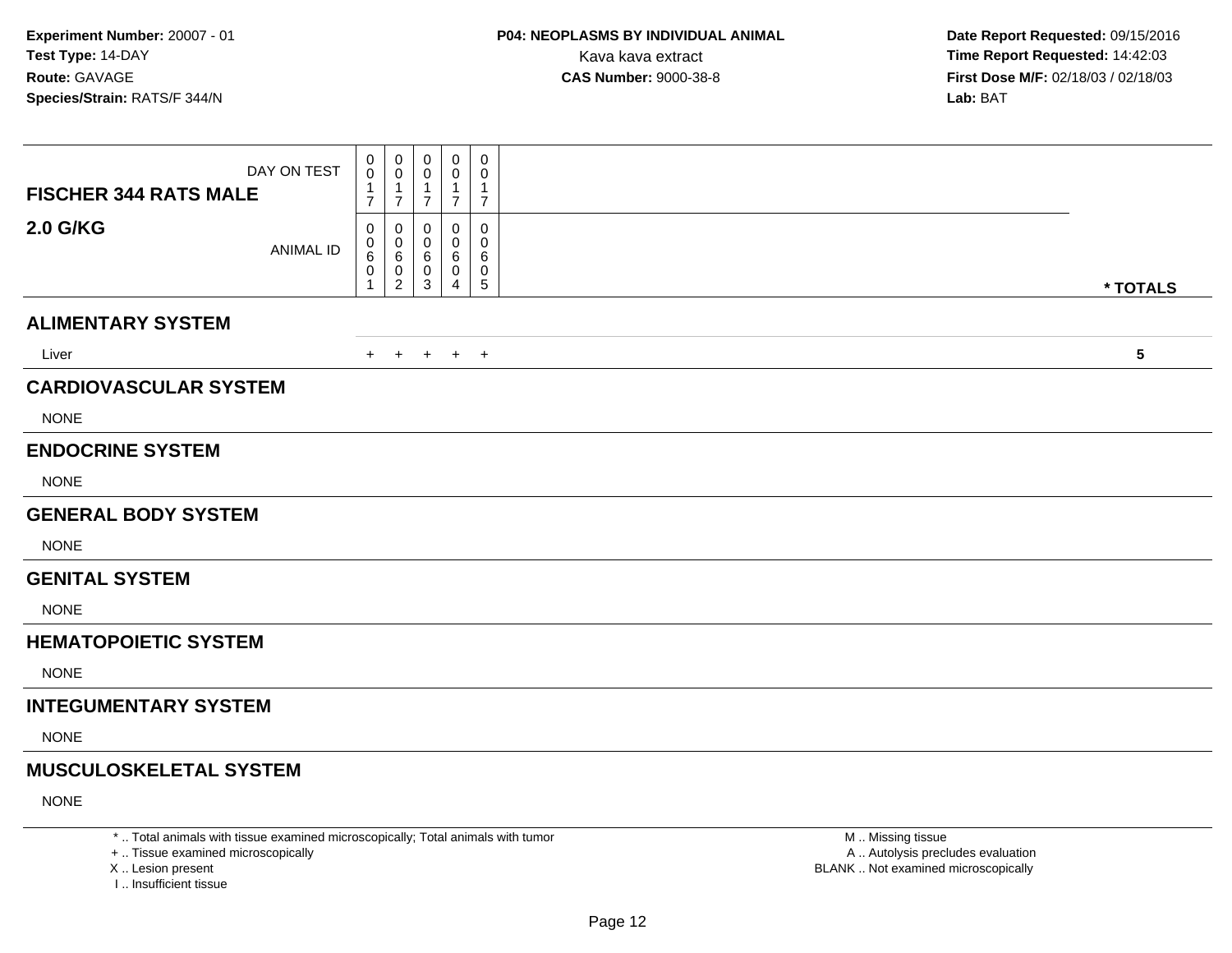| DAY ON TEST<br><b>FISCHER 344 RATS MALE</b> | 0<br>0<br>-1<br>7 | 0<br>0<br>$\overline{1}$<br>$\overline{7}$                | 0<br>0<br>1<br>$\overline{7}$ | 0<br>0<br>1<br>$\overline{7}$ | 0<br>0<br>1<br>$\overline{7}$   |           |  |
|---------------------------------------------|-------------------|-----------------------------------------------------------|-------------------------------|-------------------------------|---------------------------------|-----------|--|
| <b>2.0 G/KG</b><br><b>ANIMAL ID</b>         | 0<br>0<br>6<br>0  | $\mathbf 0$<br>$\mathbf 0$<br>$\,6\,$<br>$\mathbf 0$<br>2 | 0<br>0<br>6<br>0<br>3         | 0<br>$\Omega$<br>6<br>0<br>4  | 0<br>$\mathbf 0$<br>6<br>0<br>5 | * TOTALS  |  |
| <b>ALIMENTARY SYSTEM</b>                    |                   |                                                           |                               |                               |                                 |           |  |
| Liver                                       | $+$               | $+$                                                       | $+$                           | $+$ $+$                       |                                 | ${\bf 5}$ |  |
| <b>CARDIOVASCULAR SYSTEM</b>                |                   |                                                           |                               |                               |                                 |           |  |
| <b>NONE</b>                                 |                   |                                                           |                               |                               |                                 |           |  |
| <b>ENDOCRINE SYSTEM</b><br><b>NONE</b>      |                   |                                                           |                               |                               |                                 |           |  |
| <b>GENERAL BODY SYSTEM</b>                  |                   |                                                           |                               |                               |                                 |           |  |
| <b>NONE</b>                                 |                   |                                                           |                               |                               |                                 |           |  |
| <b>GENITAL SYSTEM</b>                       |                   |                                                           |                               |                               |                                 |           |  |
| <b>NONE</b>                                 |                   |                                                           |                               |                               |                                 |           |  |
| <b>HEMATOPOIETIC SYSTEM</b>                 |                   |                                                           |                               |                               |                                 |           |  |
| <b>NONE</b>                                 |                   |                                                           |                               |                               |                                 |           |  |
| <b>INTEGUMENTARY SYSTEM</b>                 |                   |                                                           |                               |                               |                                 |           |  |
| <b>NONE</b>                                 |                   |                                                           |                               |                               |                                 |           |  |
| <b>MUSCULOSKELETAL SYSTEM</b>               |                   |                                                           |                               |                               |                                 |           |  |
| <b>NONE</b>                                 |                   |                                                           |                               |                               |                                 |           |  |

\* .. Total animals with tissue examined microscopically; Total animals with tumor

+ .. Tissue examined microscopically

X .. Lesion present

I .. Insufficient tissue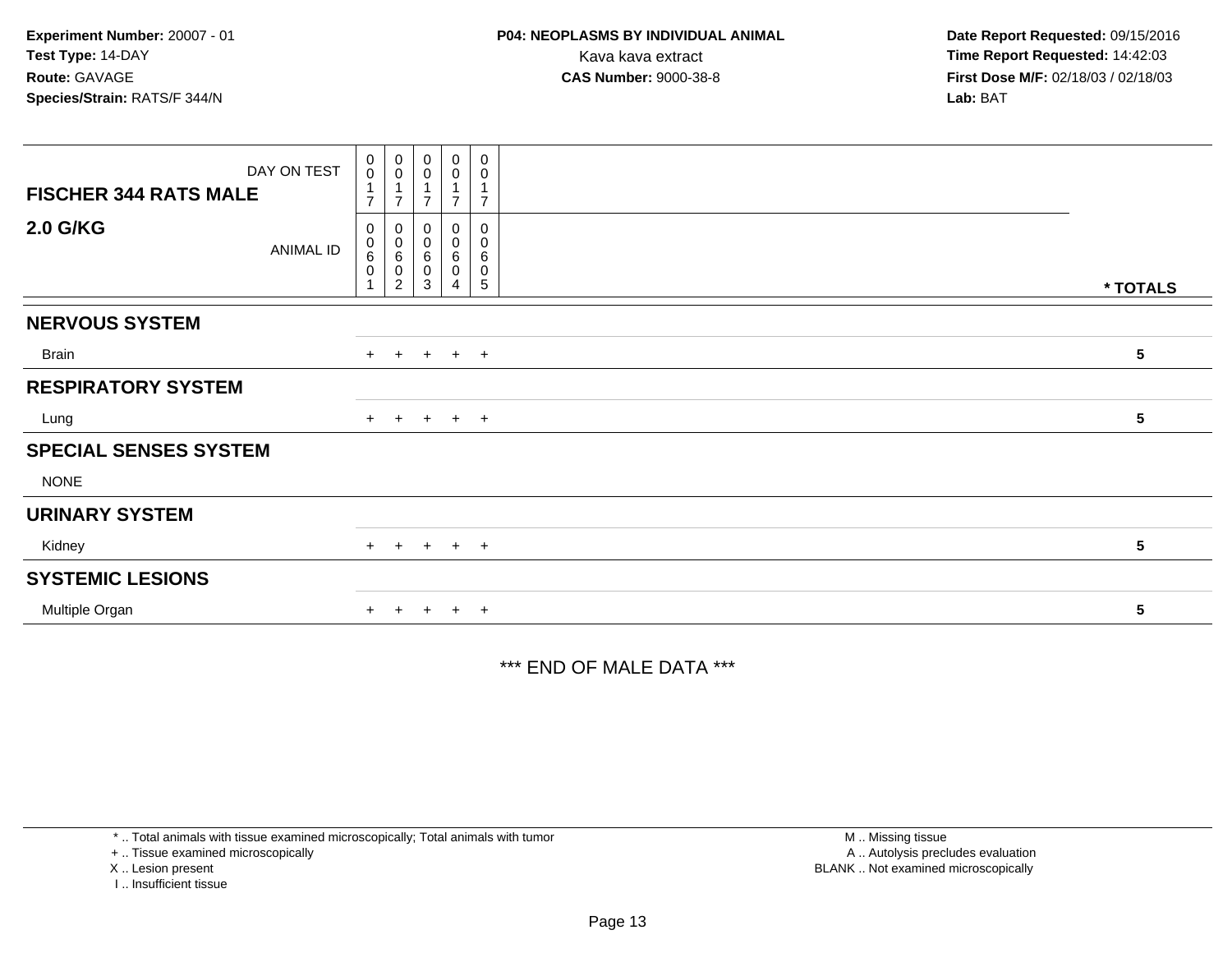| DAY ON TEST                  | $_{\rm 0}^{\rm 0}$               | $\begin{smallmatrix}0\0\0\end{smallmatrix}$ | $\pmb{0}$<br>$\mathbf 0$ | $\begin{smallmatrix} 0\\0 \end{smallmatrix}$        | $\mathbf 0$<br>$\pmb{0}$                                      |          |
|------------------------------|----------------------------------|---------------------------------------------|--------------------------|-----------------------------------------------------|---------------------------------------------------------------|----------|
| <b>FISCHER 344 RATS MALE</b> | $\mathbf{1}$<br>$\overline{ }$   | $\overline{A}$<br>⇁                         |                          |                                                     | $\overline{7}$                                                |          |
| <b>2.0 G/KG</b><br>ANIMAL ID | 0<br>$\pmb{0}$<br>6<br>$\pmb{0}$ | 0<br>$\pmb{0}$<br>6<br>0<br>$\overline{2}$  | 0<br>0<br>6<br>0<br>3    | $\mathbf 0$<br>$\pmb{0}$<br>$\,6$<br>$\pmb{0}$<br>4 | $\pmb{0}$<br>$\pmb{0}$<br>$\,6\,$<br>$\pmb{0}$<br>$\,$ 5 $\,$ | * TOTALS |
| <b>NERVOUS SYSTEM</b>        |                                  |                                             |                          |                                                     |                                                               |          |
| Brain                        |                                  | $+$ $+$                                     |                          | $+$ $+$ $+$                                         |                                                               | 5        |
| <b>RESPIRATORY SYSTEM</b>    |                                  |                                             |                          |                                                     |                                                               |          |
| Lung                         |                                  | $+$ $+$                                     |                          | $+$ $+$ $+$                                         |                                                               | 5        |
| <b>SPECIAL SENSES SYSTEM</b> |                                  |                                             |                          |                                                     |                                                               |          |
| <b>NONE</b>                  |                                  |                                             |                          |                                                     |                                                               |          |
| <b>URINARY SYSTEM</b>        |                                  |                                             |                          |                                                     |                                                               |          |
| Kidney                       |                                  | $+$ $+$                                     |                          | $+$ $+$ $+$                                         |                                                               | 5        |
| <b>SYSTEMIC LESIONS</b>      |                                  |                                             |                          |                                                     |                                                               |          |
| Multiple Organ               | $+$                              | $+$                                         | $+$                      | $+$ $+$                                             |                                                               | 5        |

\*\*\* END OF MALE DATA \*\*\*

\* .. Total animals with tissue examined microscopically; Total animals with tumor

+ .. Tissue examined microscopically

X .. Lesion present

I .. Insufficient tissue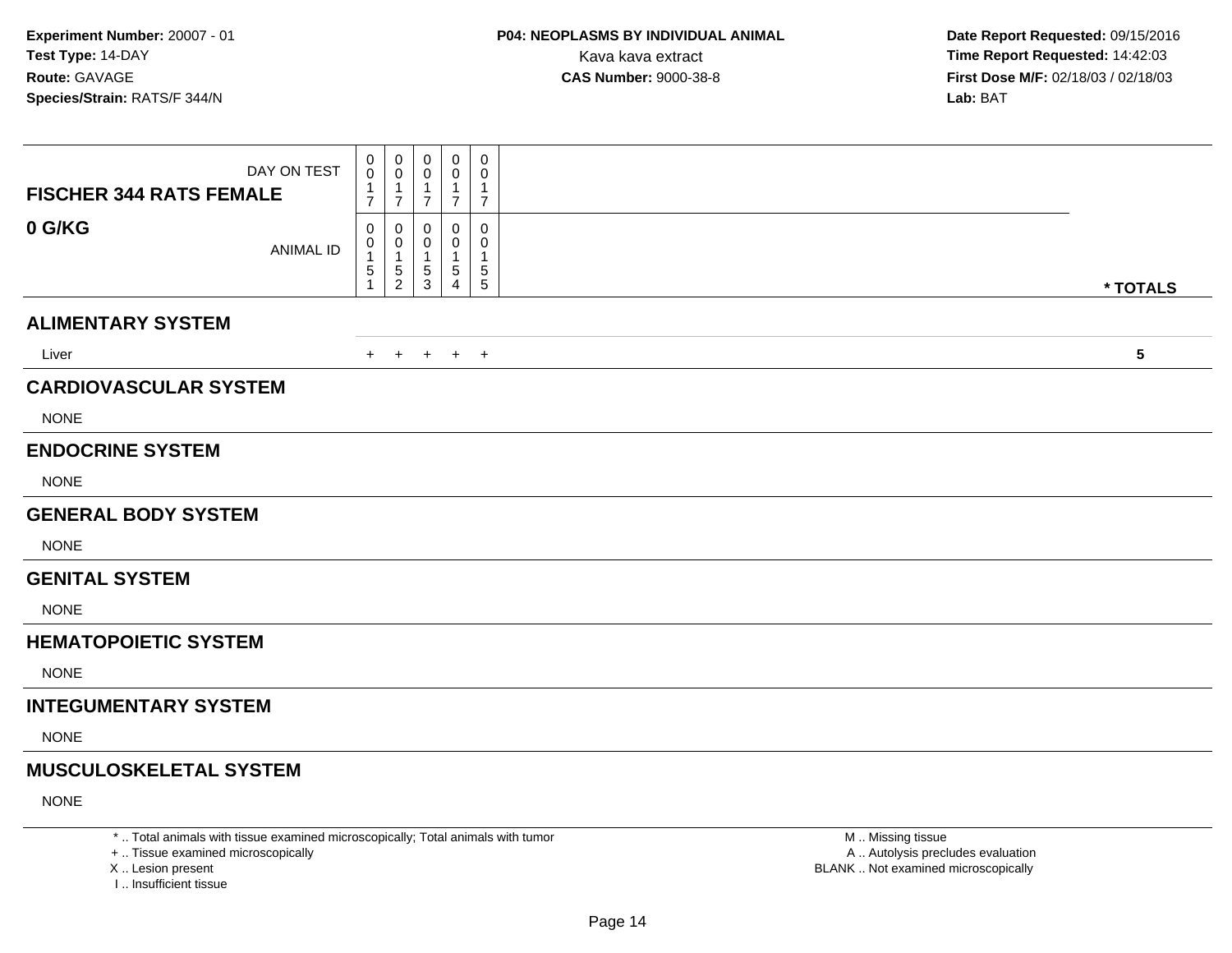| DAY ON TEST<br><b>FISCHER 344 RATS FEMALE</b> | $\mathbf 0$<br>0<br>$\mathbf 1$<br>$\overline{7}$ | $\mathbf 0$<br>$\mathbf 0$<br>$\overline{1}$<br>$\overline{7}$ | 0<br>0<br>1<br>$\overline{7}$ | 0<br>0<br>-1<br>$\overline{7}$ | 0<br>$\mathbf 0$<br>1<br>$\overline{7}$ |            |
|-----------------------------------------------|---------------------------------------------------|----------------------------------------------------------------|-------------------------------|--------------------------------|-----------------------------------------|------------|
| 0 G/KG<br><b>ANIMAL ID</b>                    | $\mathbf 0$<br>0<br>$\,$ 5 $\,$                   | $\mathbf 0$<br>0<br>$\overline{1}$<br>5<br>$\overline{2}$      | 0<br>0<br>1<br>5<br>3         | 0<br>0<br>5<br>4               | 0<br>$\mathbf 0$<br>1<br>5<br>5         | * TOTALS   |
| <b>ALIMENTARY SYSTEM</b>                      |                                                   |                                                                |                               |                                |                                         |            |
| Liver                                         | $+$                                               | $+$                                                            | $+$                           | $+$ $+$                        |                                         | $\sqrt{5}$ |
| <b>CARDIOVASCULAR SYSTEM</b>                  |                                                   |                                                                |                               |                                |                                         |            |
| <b>NONE</b>                                   |                                                   |                                                                |                               |                                |                                         |            |
| <b>ENDOCRINE SYSTEM</b>                       |                                                   |                                                                |                               |                                |                                         |            |
| <b>NONE</b>                                   |                                                   |                                                                |                               |                                |                                         |            |
| <b>GENERAL BODY SYSTEM</b>                    |                                                   |                                                                |                               |                                |                                         |            |
| <b>NONE</b>                                   |                                                   |                                                                |                               |                                |                                         |            |
| <b>GENITAL SYSTEM</b>                         |                                                   |                                                                |                               |                                |                                         |            |
| <b>NONE</b>                                   |                                                   |                                                                |                               |                                |                                         |            |
| <b>HEMATOPOIETIC SYSTEM</b>                   |                                                   |                                                                |                               |                                |                                         |            |
| <b>NONE</b>                                   |                                                   |                                                                |                               |                                |                                         |            |
| <b>INTEGUMENTARY SYSTEM</b>                   |                                                   |                                                                |                               |                                |                                         |            |
| <b>NONE</b>                                   |                                                   |                                                                |                               |                                |                                         |            |
| <b>MUSCULOSKELETAL SYSTEM</b>                 |                                                   |                                                                |                               |                                |                                         |            |
| <b>NONE</b>                                   |                                                   |                                                                |                               |                                |                                         |            |

\* .. Total animals with tissue examined microscopically; Total animals with tumor

+ .. Tissue examined microscopically

X .. Lesion present

I .. Insufficient tissue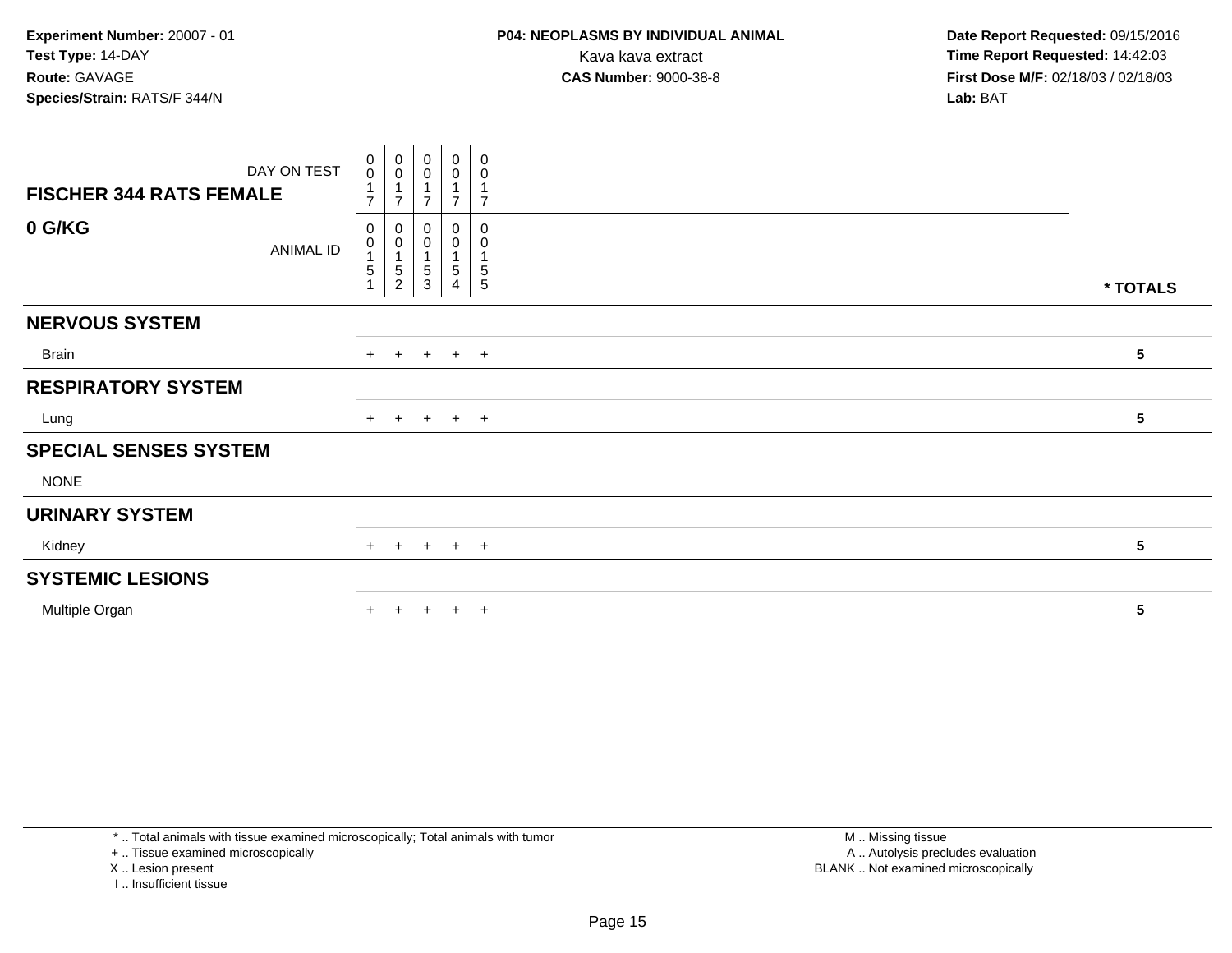**Date Report Requested:** 09/15/2016 **First Dose M/F:** 02/18/03 / 02/18/03<br>**Lab:** BAT **Lab:** BAT

| DAY ON TEST<br><b>FISCHER 344 RATS FEMALE</b> | $\begin{smallmatrix} 0\\0 \end{smallmatrix}$<br>$\overline{1}$<br>$\overline{7}$ | $\begin{smallmatrix} 0\\0 \end{smallmatrix}$<br>$\mathbf{1}$<br>$\overline{7}$ | $\boldsymbol{0}$<br>$\mathbf 0$<br>$\overline{\phantom{a}}$ | $\mathbf 0$<br>$\pmb{0}$<br>$\overline{7}$ | 0<br>$\pmb{0}$<br>1<br>$\overline{7}$        |                 |
|-----------------------------------------------|----------------------------------------------------------------------------------|--------------------------------------------------------------------------------|-------------------------------------------------------------|--------------------------------------------|----------------------------------------------|-----------------|
| 0 G/KG<br><b>ANIMAL ID</b>                    | 0<br>$\boldsymbol{0}$<br>$\overline{1}$<br>$5\,$                                 | 0<br>$\pmb{0}$<br>$\mathbf{1}$<br>$\sqrt{5}$<br>$\overline{c}$                 | 0<br>0<br>5<br>3                                            | 0<br>0<br>1<br>5<br>4                      | 0<br>0<br>$\overline{A}$<br>$\mathbf 5$<br>5 | * TOTALS        |
| <b>NERVOUS SYSTEM</b>                         |                                                                                  |                                                                                |                                                             |                                            |                                              |                 |
| Brain                                         |                                                                                  |                                                                                |                                                             | $+$ $+$ $+$ $+$ $+$                        |                                              | $5\phantom{.0}$ |
| <b>RESPIRATORY SYSTEM</b>                     |                                                                                  |                                                                                |                                                             |                                            |                                              |                 |
| Lung                                          |                                                                                  |                                                                                |                                                             | $+$ + + + +                                |                                              | $5\phantom{.0}$ |
| <b>SPECIAL SENSES SYSTEM</b>                  |                                                                                  |                                                                                |                                                             |                                            |                                              |                 |
| <b>NONE</b>                                   |                                                                                  |                                                                                |                                                             |                                            |                                              |                 |
| <b>URINARY SYSTEM</b>                         |                                                                                  |                                                                                |                                                             |                                            |                                              |                 |
| Kidney                                        |                                                                                  | $+$ $+$                                                                        |                                                             | $+$ $+$ $+$                                |                                              | $5\phantom{.0}$ |
| <b>SYSTEMIC LESIONS</b>                       |                                                                                  |                                                                                |                                                             |                                            |                                              |                 |
| Multiple Organ                                |                                                                                  |                                                                                |                                                             | $+$                                        | $^{+}$                                       | ${\bf 5}$       |

\* .. Total animals with tissue examined microscopically; Total animals with tumor

+ .. Tissue examined microscopically

X .. Lesion present

I .. Insufficient tissue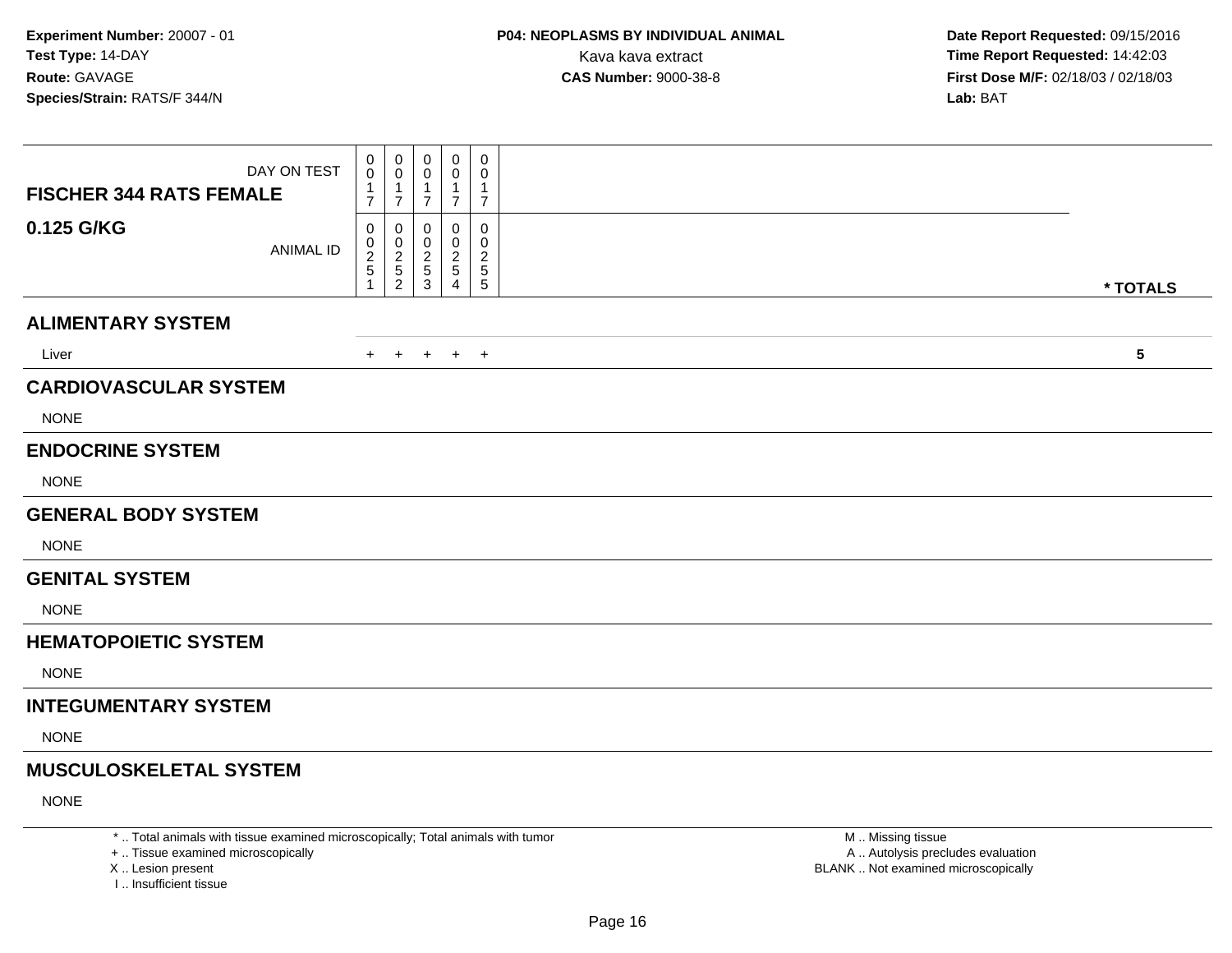| DAY ON TEST<br><b>FISCHER 344 RATS FEMALE</b> | 0<br>0<br>$\overline{7}$ | 0<br>0<br>-1<br>$\overline{7}$                       | 0<br>0<br>1<br>$\overline{7}$ | $\mathbf 0$<br>0<br>-1<br>$\overline{7}$ | 0<br>0<br>1<br>$\overline{7}$      |            |
|-----------------------------------------------|--------------------------|------------------------------------------------------|-------------------------------|------------------------------------------|------------------------------------|------------|
| 0.125 G/KG<br><b>ANIMAL ID</b>                | 0<br>0<br>$\frac{2}{5}$  | 0<br>$\begin{array}{c} 0 \\ 2 \\ 5 \end{array}$<br>2 | 0<br>0<br>2<br>5<br>3         | 0<br>0<br>$\overline{c}$<br>5<br>4       | 0<br>0<br>$\overline{c}$<br>5<br>5 | * TOTALS   |
| <b>ALIMENTARY SYSTEM</b>                      |                          |                                                      |                               |                                          |                                    |            |
| Liver                                         | $+$                      | $+$                                                  | $+$                           | $+$ $+$                                  |                                    | $\sqrt{5}$ |
| <b>CARDIOVASCULAR SYSTEM</b><br><b>NONE</b>   |                          |                                                      |                               |                                          |                                    |            |
| <b>ENDOCRINE SYSTEM</b>                       |                          |                                                      |                               |                                          |                                    |            |
| <b>NONE</b>                                   |                          |                                                      |                               |                                          |                                    |            |
| <b>GENERAL BODY SYSTEM</b>                    |                          |                                                      |                               |                                          |                                    |            |
| <b>NONE</b>                                   |                          |                                                      |                               |                                          |                                    |            |
| <b>GENITAL SYSTEM</b>                         |                          |                                                      |                               |                                          |                                    |            |
| <b>NONE</b>                                   |                          |                                                      |                               |                                          |                                    |            |
| <b>HEMATOPOIETIC SYSTEM</b>                   |                          |                                                      |                               |                                          |                                    |            |
| <b>NONE</b>                                   |                          |                                                      |                               |                                          |                                    |            |
| <b>INTEGUMENTARY SYSTEM</b>                   |                          |                                                      |                               |                                          |                                    |            |
| <b>NONE</b>                                   |                          |                                                      |                               |                                          |                                    |            |
| <b>MUSCULOSKELETAL SYSTEM</b>                 |                          |                                                      |                               |                                          |                                    |            |
| <b>NONE</b>                                   |                          |                                                      |                               |                                          |                                    |            |

\* .. Total animals with tissue examined microscopically; Total animals with tumor

+ .. Tissue examined microscopically

X .. Lesion present

I .. Insufficient tissue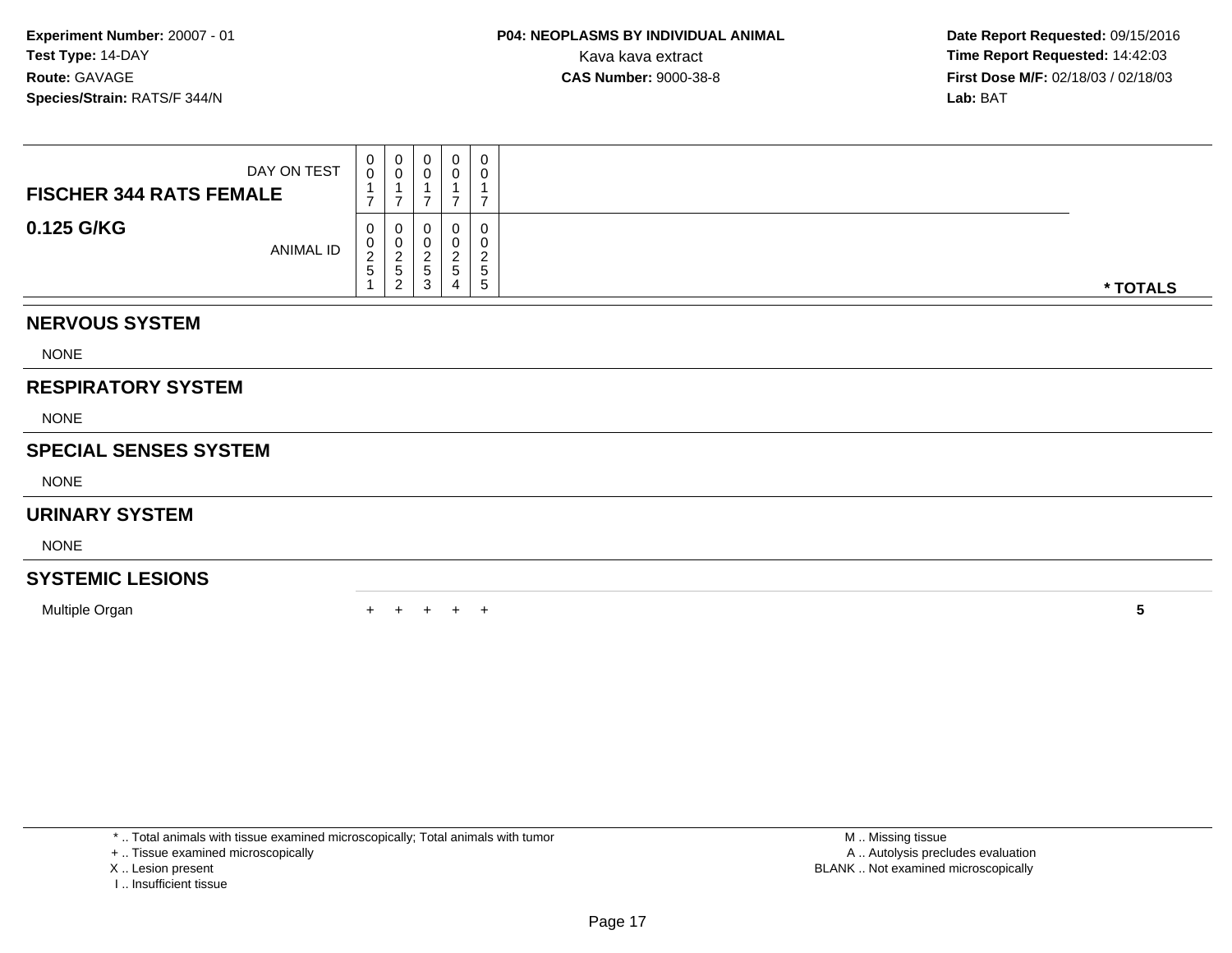| <b>FISCHER 344 RATS FEMALE</b> | DAY ON TEST | $_0^0$<br>$\overline{ }$                        | $\begin{smallmatrix} 0\\0 \end{smallmatrix}$<br>$\overline{ }$ | 0<br>$\mathsf 0$<br>⇁                         | 0<br>$\mathbf 0$<br>$\overline{7}$   | 0<br>0<br>1<br>$\overline{ }$        |  |          |  |  |  |  |  |  |
|--------------------------------|-------------|-------------------------------------------------|----------------------------------------------------------------|-----------------------------------------------|--------------------------------------|--------------------------------------|--|----------|--|--|--|--|--|--|
| 0.125 G/KG                     | ANIMAL ID   | 0<br>$\begin{array}{c} 0 \\ 2 \\ 5 \end{array}$ | 0<br>$\frac{0}{2}$<br>5<br>2                                   | 0<br>$\boldsymbol{0}$<br>$\sqrt{2}$<br>5<br>3 | 0<br>$\pmb{0}$<br>$\frac{2}{5}$<br>4 | 0<br>0<br>$\boldsymbol{2}$<br>5<br>5 |  | * TOTALS |  |  |  |  |  |  |
| <b>NERVOUS SYSTEM</b>          |             |                                                 |                                                                |                                               |                                      |                                      |  |          |  |  |  |  |  |  |
| <b>NONE</b>                    |             |                                                 |                                                                |                                               |                                      |                                      |  |          |  |  |  |  |  |  |
| <b>RESPIRATORY SYSTEM</b>      |             |                                                 |                                                                |                                               |                                      |                                      |  |          |  |  |  |  |  |  |
| <b>NONE</b>                    |             |                                                 |                                                                |                                               |                                      |                                      |  |          |  |  |  |  |  |  |
| <b>SPECIAL SENSES SYSTEM</b>   |             |                                                 |                                                                |                                               |                                      |                                      |  |          |  |  |  |  |  |  |
| <b>NONE</b>                    |             |                                                 |                                                                |                                               |                                      |                                      |  |          |  |  |  |  |  |  |
| <b>URINARY SYSTEM</b>          |             |                                                 |                                                                |                                               |                                      |                                      |  |          |  |  |  |  |  |  |
| <b>NONE</b>                    |             |                                                 |                                                                |                                               |                                      |                                      |  |          |  |  |  |  |  |  |
| <b>SYSTEMIC LESIONS</b>        |             |                                                 |                                                                |                                               |                                      |                                      |  |          |  |  |  |  |  |  |
| Multiple Organ                 |             | $+$                                             | $+$                                                            | $+$                                           | $+$                                  | $^{+}$                               |  | 5        |  |  |  |  |  |  |

\* .. Total animals with tissue examined microscopically; Total animals with tumor

+ .. Tissue examined microscopically

- X .. Lesion present
- I .. Insufficient tissue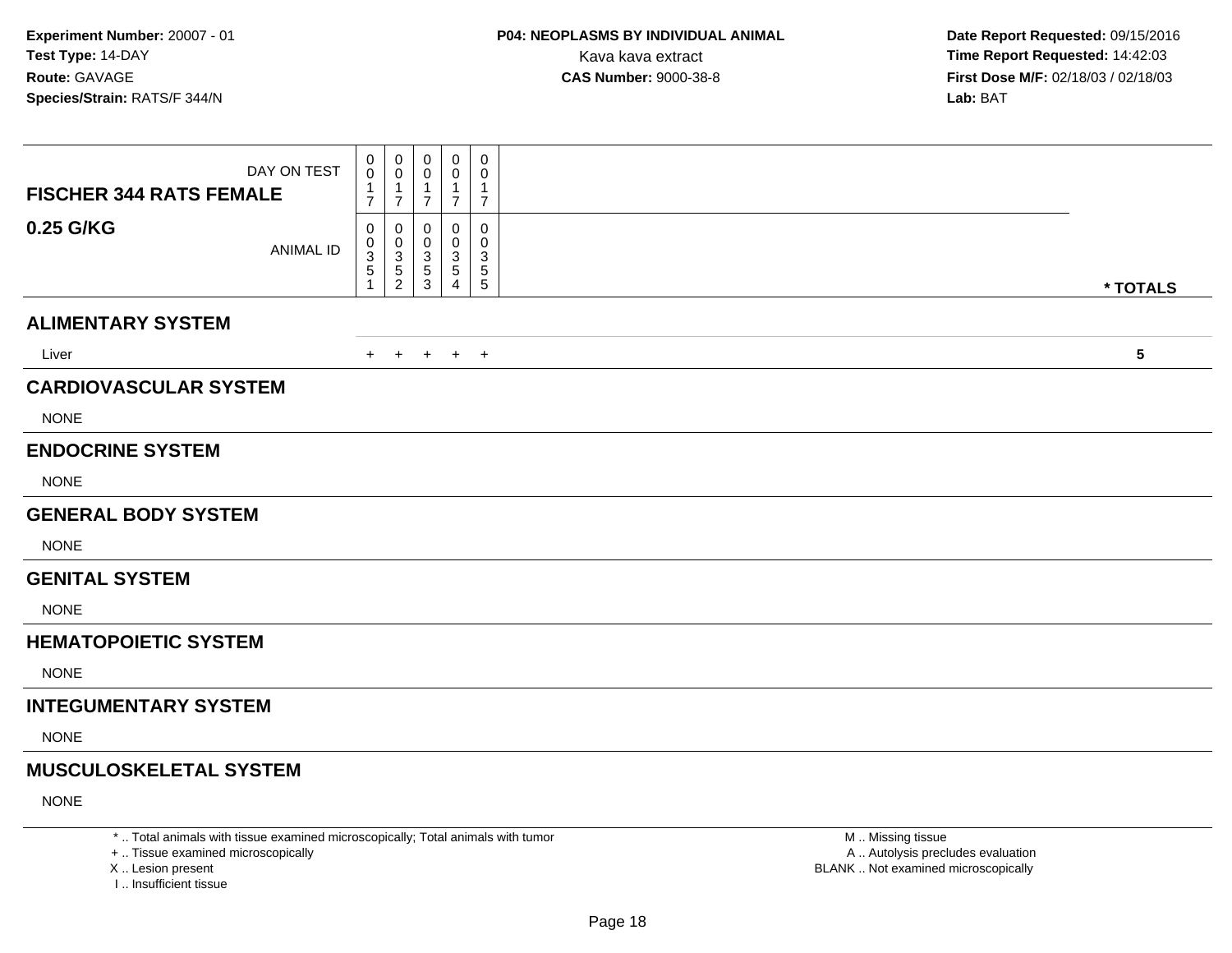| DAY ON TEST<br><b>FISCHER 344 RATS FEMALE</b> | 0<br>0<br>-1<br>$\overline{7}$               | 0<br>$\mathbf 0$<br>-1<br>$\overline{7}$ | 0<br>$\Omega$<br>1<br>$\overline{7}$ | 0<br>0<br>-1<br>$\overline{7}$ | 0<br>0<br>1<br>$\overline{7}$ |            |
|-----------------------------------------------|----------------------------------------------|------------------------------------------|--------------------------------------|--------------------------------|-------------------------------|------------|
| 0.25 G/KG<br><b>ANIMAL ID</b>                 | $\mathbf 0$<br>0<br>$\sqrt{3}$<br>$\sqrt{5}$ | $\mathbf 0$<br>0<br>$\frac{3}{5}$<br>2   | 0<br>0<br>3<br>5<br>3                | 0<br>0<br>3<br>5<br>4          | 0<br>0<br>3<br>5<br>5         | * TOTALS   |
| <b>ALIMENTARY SYSTEM</b>                      |                                              |                                          |                                      |                                |                               |            |
| Liver                                         | $+$                                          | $+$                                      | $+$                                  | $+$ $+$                        |                               | $\sqrt{5}$ |
| <b>CARDIOVASCULAR SYSTEM</b><br><b>NONE</b>   |                                              |                                          |                                      |                                |                               |            |
| <b>ENDOCRINE SYSTEM</b><br><b>NONE</b>        |                                              |                                          |                                      |                                |                               |            |
| <b>GENERAL BODY SYSTEM</b>                    |                                              |                                          |                                      |                                |                               |            |
| <b>NONE</b>                                   |                                              |                                          |                                      |                                |                               |            |
| <b>GENITAL SYSTEM</b>                         |                                              |                                          |                                      |                                |                               |            |
| <b>NONE</b>                                   |                                              |                                          |                                      |                                |                               |            |
| <b>HEMATOPOIETIC SYSTEM</b>                   |                                              |                                          |                                      |                                |                               |            |
| <b>NONE</b>                                   |                                              |                                          |                                      |                                |                               |            |
| <b>INTEGUMENTARY SYSTEM</b>                   |                                              |                                          |                                      |                                |                               |            |
| <b>NONE</b>                                   |                                              |                                          |                                      |                                |                               |            |
| <b>MUSCULOSKELETAL SYSTEM</b>                 |                                              |                                          |                                      |                                |                               |            |
| <b>NONE</b>                                   |                                              |                                          |                                      |                                |                               |            |

\* .. Total animals with tissue examined microscopically; Total animals with tumor

+ .. Tissue examined microscopically

X .. Lesion present

I .. Insufficient tissue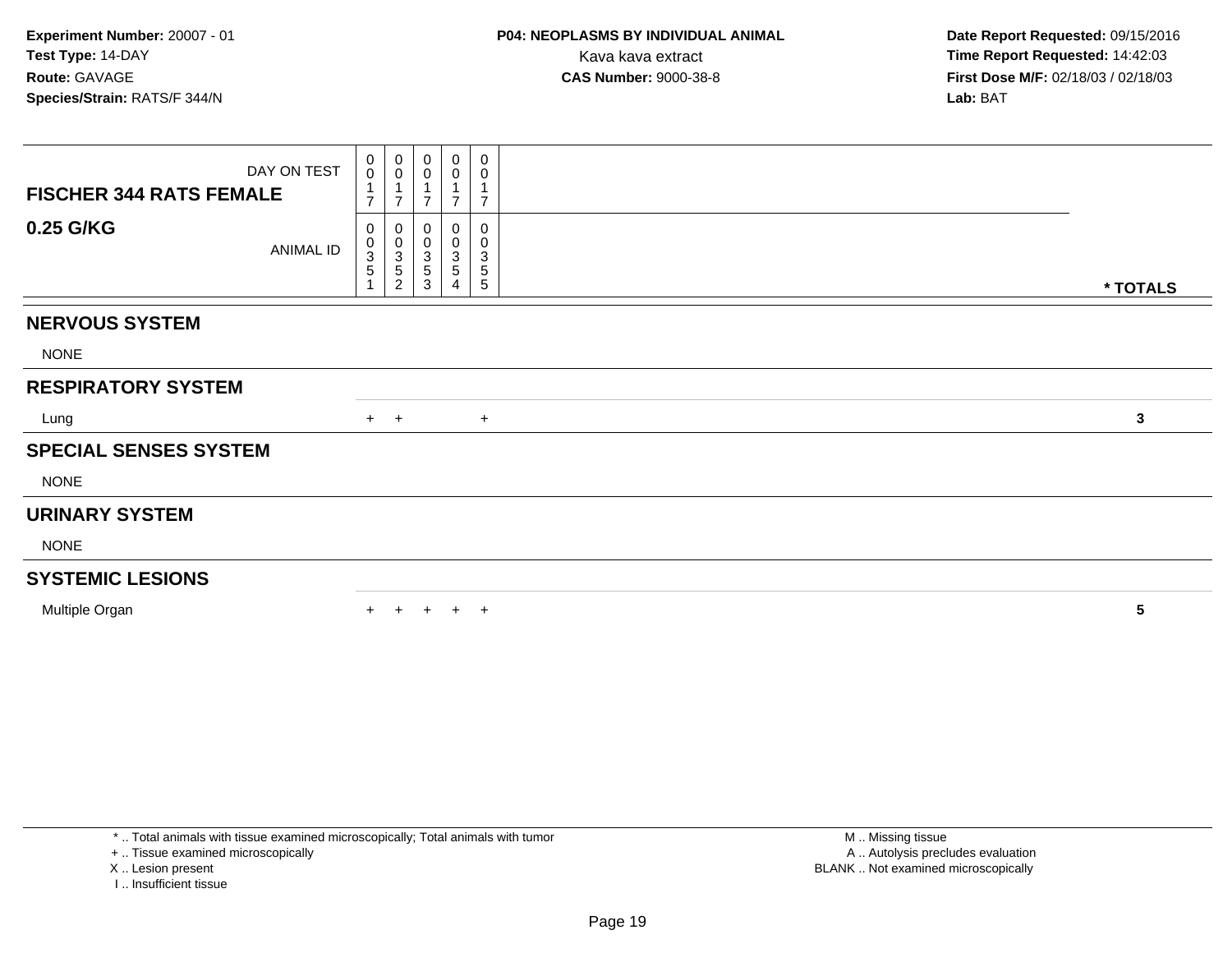**Date Report Requested:** 09/15/2016 **First Dose M/F:** 02/18/03 / 02/18/03<br>**Lab:** BAT **Lab:** BAT

| DAY ON TEST<br><b>FISCHER 344 RATS FEMALE</b> | $\begin{matrix} 0 \\ 0 \end{matrix}$<br>1<br>$\overline{7}$ | 0<br>$\mathbf 0$<br>1<br>$\overline{7}$                                   | 0<br>0<br>$\overline{ }$                            | 0<br>0<br>$\overline{7}$        | 0<br>0<br>$\overline{7}$                                        |  |  |  |  |  |  |              |
|-----------------------------------------------|-------------------------------------------------------------|---------------------------------------------------------------------------|-----------------------------------------------------|---------------------------------|-----------------------------------------------------------------|--|--|--|--|--|--|--------------|
| 0.25 G/KG<br>ANIMAL ID                        | 0<br>$_{3}^{\rm 0}$<br>$\mathbf 5$<br>1                     | 0<br>$\boldsymbol{0}$<br>$\ensuremath{\mathsf{3}}$<br>5<br>$\overline{c}$ | 0<br>$\,0\,$<br>$\ensuremath{\mathsf{3}}$<br>5<br>3 | 0<br>0<br>3<br>$\mathbf 5$<br>4 | $\pmb{0}$<br>0<br>$\ensuremath{\mathsf{3}}$<br>$\,$ 5 $\,$<br>5 |  |  |  |  |  |  | * TOTALS     |
| <b>NERVOUS SYSTEM</b>                         |                                                             |                                                                           |                                                     |                                 |                                                                 |  |  |  |  |  |  |              |
| <b>NONE</b>                                   |                                                             |                                                                           |                                                     |                                 |                                                                 |  |  |  |  |  |  |              |
| <b>RESPIRATORY SYSTEM</b>                     |                                                             |                                                                           |                                                     |                                 |                                                                 |  |  |  |  |  |  |              |
| Lung                                          |                                                             | $+$ $+$                                                                   |                                                     |                                 | $+$                                                             |  |  |  |  |  |  | $\mathbf{3}$ |
| <b>SPECIAL SENSES SYSTEM</b>                  |                                                             |                                                                           |                                                     |                                 |                                                                 |  |  |  |  |  |  |              |
| <b>NONE</b>                                   |                                                             |                                                                           |                                                     |                                 |                                                                 |  |  |  |  |  |  |              |
| <b>URINARY SYSTEM</b>                         |                                                             |                                                                           |                                                     |                                 |                                                                 |  |  |  |  |  |  |              |
| <b>NONE</b>                                   |                                                             |                                                                           |                                                     |                                 |                                                                 |  |  |  |  |  |  |              |
| <b>SYSTEMIC LESIONS</b>                       |                                                             |                                                                           |                                                     |                                 |                                                                 |  |  |  |  |  |  |              |
| Multiple Organ                                |                                                             |                                                                           | $+$                                                 |                                 | $+$ $+$                                                         |  |  |  |  |  |  | 5            |

+ .. Tissue examined microscopically

X .. Lesion present

I .. Insufficient tissue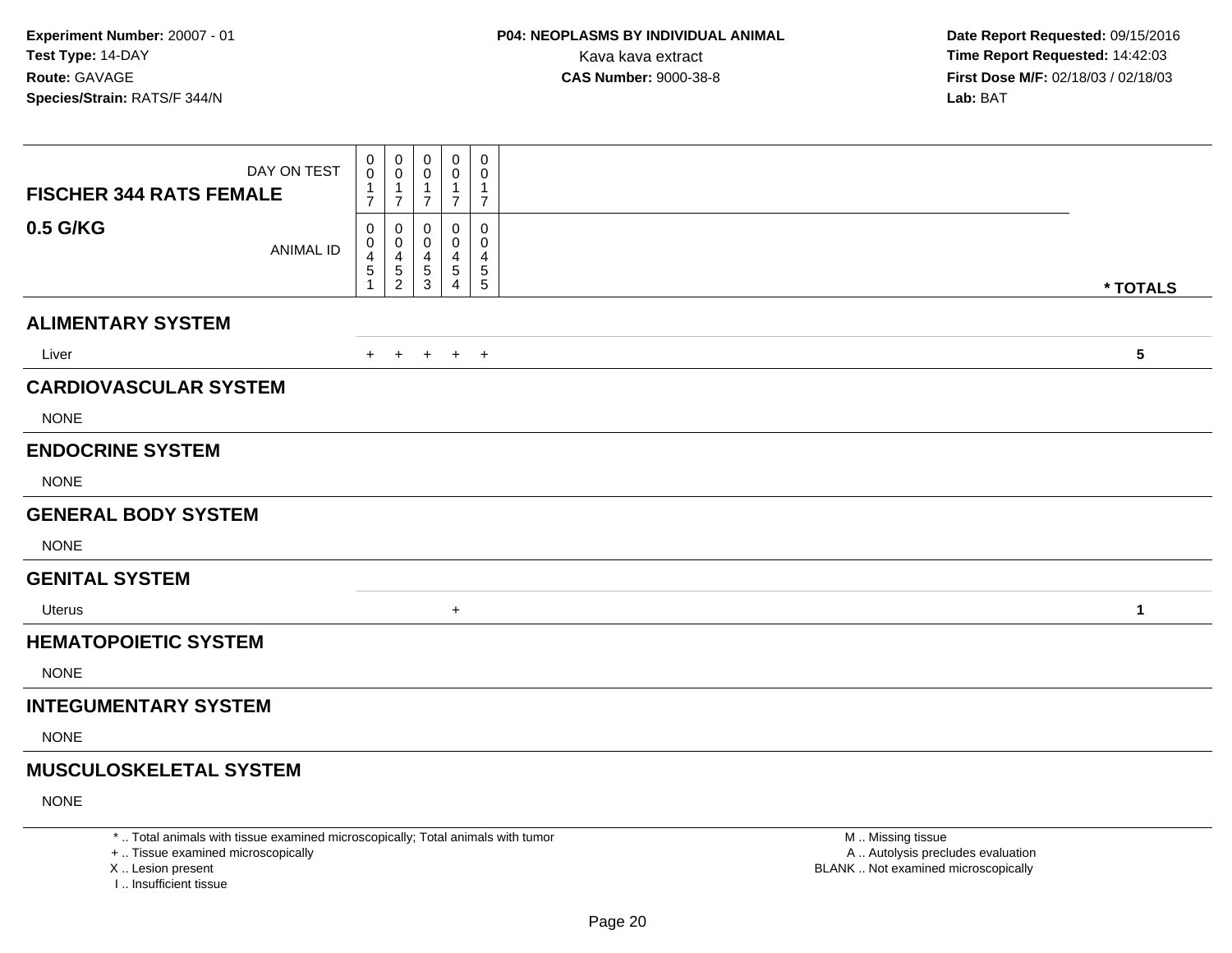| DAY ON TEST<br><b>FISCHER 344 RATS FEMALE</b> | $\mathbf{0}$<br>$\mathbf 0$<br>$\mathbf 1$ | 0<br>$\mathbf 0$<br>$\mathbf 1$ | 0<br>0<br>-1   | $\mathbf 0$<br>0<br>1 | 0<br>$\mathbf 0$<br>1 |                 |
|-----------------------------------------------|--------------------------------------------|---------------------------------|----------------|-----------------------|-----------------------|-----------------|
|                                               | $\overline{7}$                             | $\overline{7}$                  | $\overline{7}$ | $\overline{7}$        | $\overline{7}$        |                 |
| 0.5 G/KG<br><b>ANIMAL ID</b>                  | 0<br>0                                     | 0<br>$\mathbf 0$                | 0<br>0         | 0<br>0                | 0<br>0                |                 |
|                                               | $\overline{4}$<br>$\,$ 5 $\,$              | $\overline{4}$<br>$\sqrt{5}$    | 4<br>5         | 4<br>5                | 4<br>$5\phantom{.0}$  |                 |
|                                               | 1                                          | $\overline{2}$                  | 3              | 4                     | $\sqrt{5}$            | * TOTALS        |
| <b>ALIMENTARY SYSTEM</b>                      |                                            |                                 |                |                       |                       |                 |
| Liver                                         | $+$                                        | $+$                             | $+$            | $+$ $+$               |                       | $5\phantom{.0}$ |
| <b>CARDIOVASCULAR SYSTEM</b>                  |                                            |                                 |                |                       |                       |                 |
| <b>NONE</b>                                   |                                            |                                 |                |                       |                       |                 |
| <b>ENDOCRINE SYSTEM</b>                       |                                            |                                 |                |                       |                       |                 |
| <b>NONE</b>                                   |                                            |                                 |                |                       |                       |                 |
| <b>GENERAL BODY SYSTEM</b>                    |                                            |                                 |                |                       |                       |                 |
| <b>NONE</b>                                   |                                            |                                 |                |                       |                       |                 |
| <b>GENITAL SYSTEM</b>                         |                                            |                                 |                |                       |                       |                 |
| Uterus                                        |                                            |                                 |                | $\ddot{}$             |                       | 1               |
| <b>HEMATOPOIETIC SYSTEM</b>                   |                                            |                                 |                |                       |                       |                 |
| <b>NONE</b>                                   |                                            |                                 |                |                       |                       |                 |
| <b>INTEGUMENTARY SYSTEM</b>                   |                                            |                                 |                |                       |                       |                 |
| <b>NONE</b>                                   |                                            |                                 |                |                       |                       |                 |
| <b>MUSCULOSKELETAL SYSTEM</b>                 |                                            |                                 |                |                       |                       |                 |
| <b>NONE</b>                                   |                                            |                                 |                |                       |                       |                 |

\* .. Total animals with tissue examined microscopically; Total animals with tumor

+ .. Tissue examined microscopically

X .. Lesion present

I .. Insufficient tissue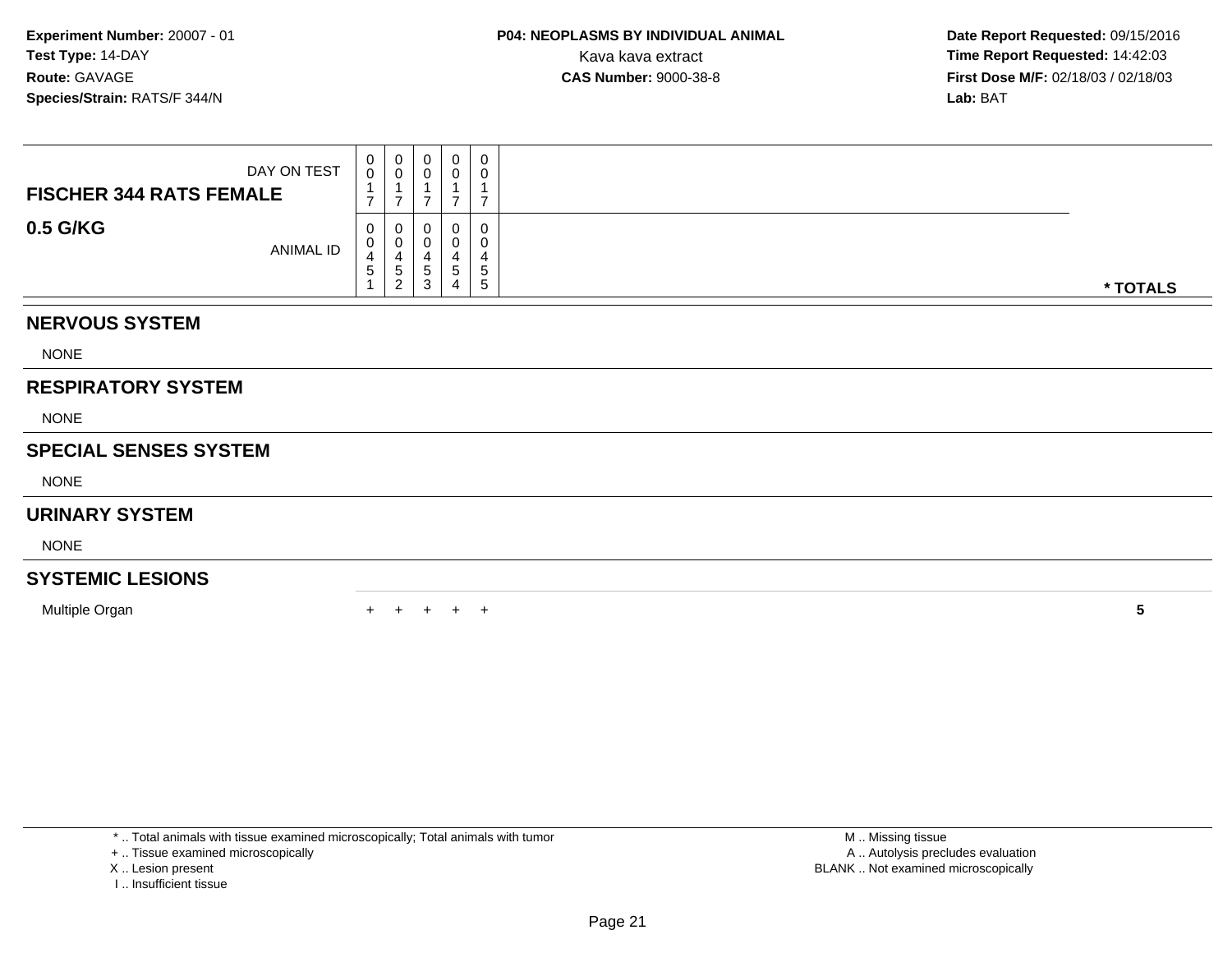| DAY ON TEST<br><b>FISCHER 344 RATS FEMALE</b> | 0<br>$\overline{0}$ | $\begin{smallmatrix} 0\\0 \end{smallmatrix}$<br>$\overline{ }$ | $_{\rm 0}^{\rm 0}$<br>7 | 0<br>0<br>$\overline{ }$ | 0<br>$\pmb{0}$<br>$\mathbf 1$<br>$\overline{z}$ |  |          |  |  |  |  |  |  |  |
|-----------------------------------------------|---------------------|----------------------------------------------------------------|-------------------------|--------------------------|-------------------------------------------------|--|----------|--|--|--|--|--|--|--|
| 0.5 G/KG<br>ANIMAL ID                         | 0<br>0<br>4<br>5    | 0<br>$\pmb{0}$<br>$\overline{4}$<br>$\sqrt{5}$<br>2            | 0<br>0<br>4<br>5<br>3   | 0<br>4<br>5<br>4         | 0<br>0<br>4<br>$\sqrt{5}$<br>$5\phantom{.0}$    |  | * TOTALS |  |  |  |  |  |  |  |
| <b>NERVOUS SYSTEM</b>                         |                     |                                                                |                         |                          |                                                 |  |          |  |  |  |  |  |  |  |
| <b>NONE</b>                                   |                     |                                                                |                         |                          |                                                 |  |          |  |  |  |  |  |  |  |
| <b>RESPIRATORY SYSTEM</b>                     |                     |                                                                |                         |                          |                                                 |  |          |  |  |  |  |  |  |  |
| <b>NONE</b>                                   |                     |                                                                |                         |                          |                                                 |  |          |  |  |  |  |  |  |  |
| <b>SPECIAL SENSES SYSTEM</b>                  |                     |                                                                |                         |                          |                                                 |  |          |  |  |  |  |  |  |  |
| <b>NONE</b>                                   |                     |                                                                |                         |                          |                                                 |  |          |  |  |  |  |  |  |  |
| <b>URINARY SYSTEM</b>                         |                     |                                                                |                         |                          |                                                 |  |          |  |  |  |  |  |  |  |
| <b>NONE</b>                                   |                     |                                                                |                         |                          |                                                 |  |          |  |  |  |  |  |  |  |
| <b>SYSTEMIC LESIONS</b>                       |                     |                                                                |                         |                          |                                                 |  |          |  |  |  |  |  |  |  |
| Multiple Organ                                | $+$                 | $+$                                                            | $+$                     | $+$                      | $^{+}$                                          |  | 5        |  |  |  |  |  |  |  |

\* .. Total animals with tissue examined microscopically; Total animals with tumor

+ .. Tissue examined microscopically

- X .. Lesion present
- I .. Insufficient tissue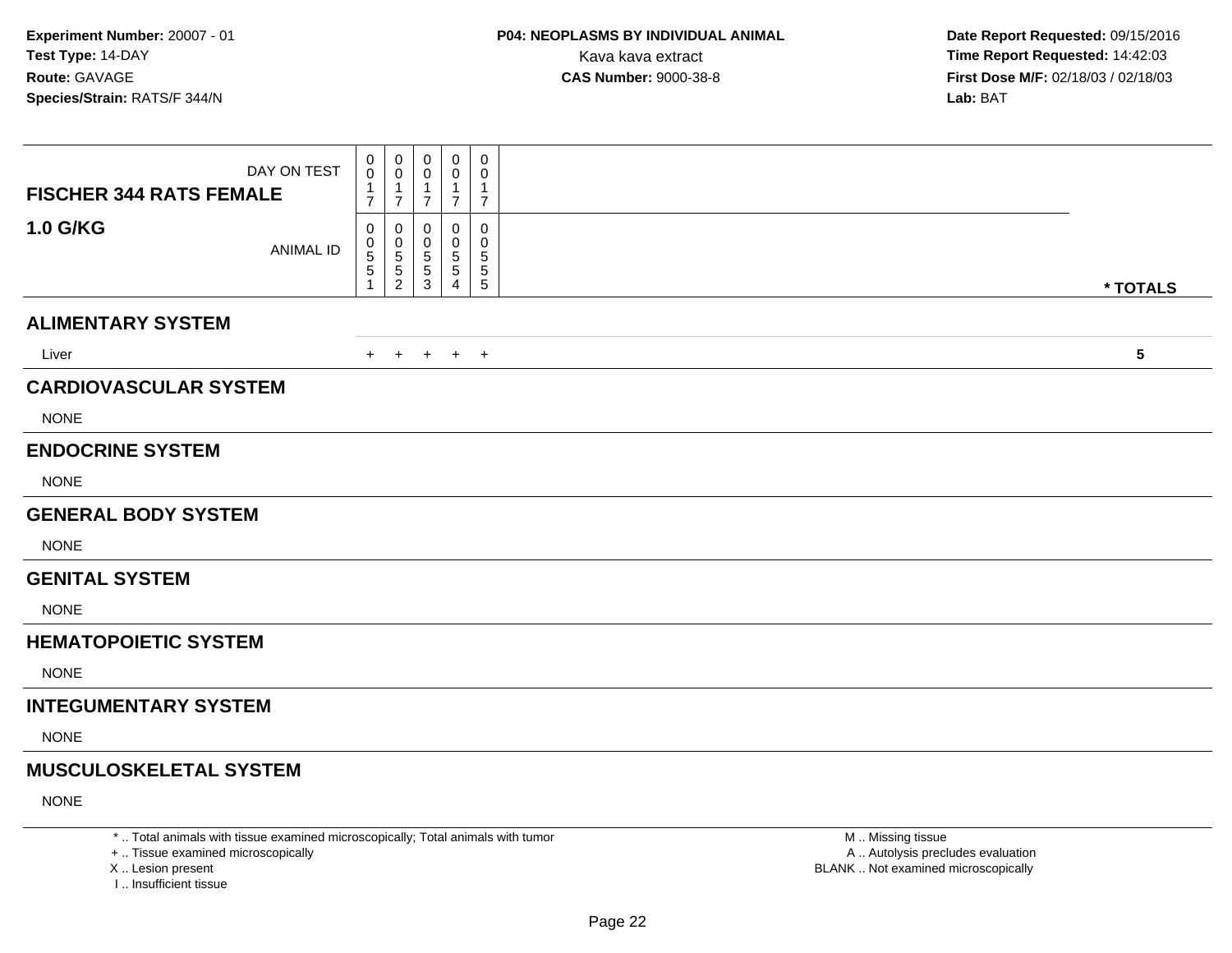| DAY ON TEST<br><b>FISCHER 344 RATS FEMALE</b> | 0<br>0<br>$\mathbf{1}$<br>$\overline{7}$        | 0<br>$\mathbf 0$<br>-1<br>$\overline{7}$            | $\mathbf 0$<br>0<br>1<br>$\overline{7}$ | 0<br>0<br>-1<br>$\overline{7}$ | 0<br>0<br>1<br>$\overline{7}$            |                         |
|-----------------------------------------------|-------------------------------------------------|-----------------------------------------------------|-----------------------------------------|--------------------------------|------------------------------------------|-------------------------|
| 1.0 G/KG<br><b>ANIMAL ID</b>                  | 0<br>0<br>$\begin{array}{c} 5 \\ 5 \end{array}$ | $\mathbf 0$<br>0<br>$\frac{5}{5}$<br>$\overline{2}$ | 0<br>0<br>5<br>5<br>3                   | 0<br>0<br>5<br>5<br>Δ          | 0<br>0<br>$\mathbf 5$<br>5<br>$\sqrt{5}$ | * TOTALS                |
| <b>ALIMENTARY SYSTEM</b>                      |                                                 |                                                     |                                         |                                |                                          |                         |
| Liver                                         | $+$                                             | $+$                                                 | $+$                                     |                                | $+$ $+$                                  | $\overline{\mathbf{5}}$ |
| <b>CARDIOVASCULAR SYSTEM</b><br><b>NONE</b>   |                                                 |                                                     |                                         |                                |                                          |                         |
| <b>ENDOCRINE SYSTEM</b><br><b>NONE</b>        |                                                 |                                                     |                                         |                                |                                          |                         |
| <b>GENERAL BODY SYSTEM</b>                    |                                                 |                                                     |                                         |                                |                                          |                         |
| <b>NONE</b>                                   |                                                 |                                                     |                                         |                                |                                          |                         |
| <b>GENITAL SYSTEM</b>                         |                                                 |                                                     |                                         |                                |                                          |                         |
| <b>NONE</b>                                   |                                                 |                                                     |                                         |                                |                                          |                         |
| <b>HEMATOPOIETIC SYSTEM</b>                   |                                                 |                                                     |                                         |                                |                                          |                         |
| <b>NONE</b>                                   |                                                 |                                                     |                                         |                                |                                          |                         |
| <b>INTEGUMENTARY SYSTEM</b>                   |                                                 |                                                     |                                         |                                |                                          |                         |
| <b>NONE</b>                                   |                                                 |                                                     |                                         |                                |                                          |                         |
| <b>MUSCULOSKELETAL SYSTEM</b>                 |                                                 |                                                     |                                         |                                |                                          |                         |
| <b>NONE</b>                                   |                                                 |                                                     |                                         |                                |                                          |                         |

\* .. Total animals with tissue examined microscopically; Total animals with tumor

+ .. Tissue examined microscopically

X .. Lesion present

I .. Insufficient tissue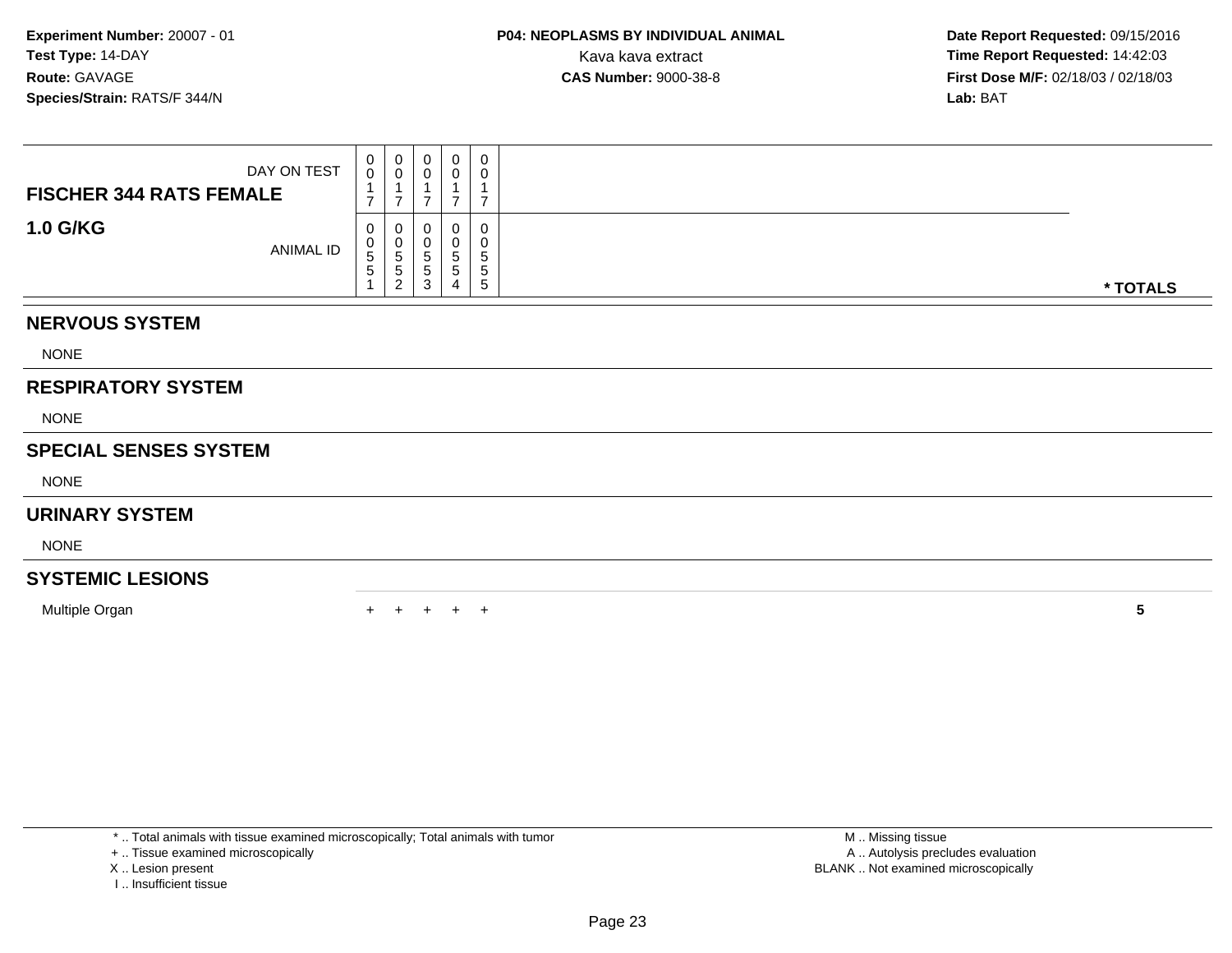| DAY ON TEST<br><b>FISCHER 344 RATS FEMALE</b> | $_0^0$<br>⇁               | $\begin{smallmatrix}0\0\0\end{smallmatrix}$<br>7 | 0<br>$\pmb{0}$<br>⇁                               | $\mathbf 0$<br>$\pmb{0}$<br>$\overline{7}$ | 0<br>$\pmb{0}$<br>$\mathbf{1}$<br>$\overline{7}$ |  |          |  |  |  |  |  |  |  |
|-----------------------------------------------|---------------------------|--------------------------------------------------|---------------------------------------------------|--------------------------------------------|--------------------------------------------------|--|----------|--|--|--|--|--|--|--|
| <b>1.0 G/KG</b><br>ANIMAL ID                  | 0<br>0<br>$\sqrt{5}$<br>5 | 0<br>$0$<br>5<br>5<br>5<br>2                     | 0<br>$\pmb{0}$<br>$\sqrt{5}$<br>5<br>$\mathbf{3}$ | 0<br>0<br>5<br>$\sqrt{5}$<br>4             | 0<br>0<br>5<br>$\mathbf 5$<br>5                  |  | * TOTALS |  |  |  |  |  |  |  |
| <b>NERVOUS SYSTEM</b>                         |                           |                                                  |                                                   |                                            |                                                  |  |          |  |  |  |  |  |  |  |
| <b>NONE</b>                                   |                           |                                                  |                                                   |                                            |                                                  |  |          |  |  |  |  |  |  |  |
| <b>RESPIRATORY SYSTEM</b>                     |                           |                                                  |                                                   |                                            |                                                  |  |          |  |  |  |  |  |  |  |
| <b>NONE</b>                                   |                           |                                                  |                                                   |                                            |                                                  |  |          |  |  |  |  |  |  |  |
| <b>SPECIAL SENSES SYSTEM</b>                  |                           |                                                  |                                                   |                                            |                                                  |  |          |  |  |  |  |  |  |  |
| <b>NONE</b>                                   |                           |                                                  |                                                   |                                            |                                                  |  |          |  |  |  |  |  |  |  |
| <b>URINARY SYSTEM</b>                         |                           |                                                  |                                                   |                                            |                                                  |  |          |  |  |  |  |  |  |  |
| <b>NONE</b>                                   |                           |                                                  |                                                   |                                            |                                                  |  |          |  |  |  |  |  |  |  |
| <b>SYSTEMIC LESIONS</b>                       |                           |                                                  |                                                   |                                            |                                                  |  |          |  |  |  |  |  |  |  |
| Multiple Organ                                | $+$                       | $+$                                              | $+$                                               | $+$                                        | $+$                                              |  | 5        |  |  |  |  |  |  |  |

\* .. Total animals with tissue examined microscopically; Total animals with tumor

+ .. Tissue examined microscopically

X .. Lesion present

I .. Insufficient tissue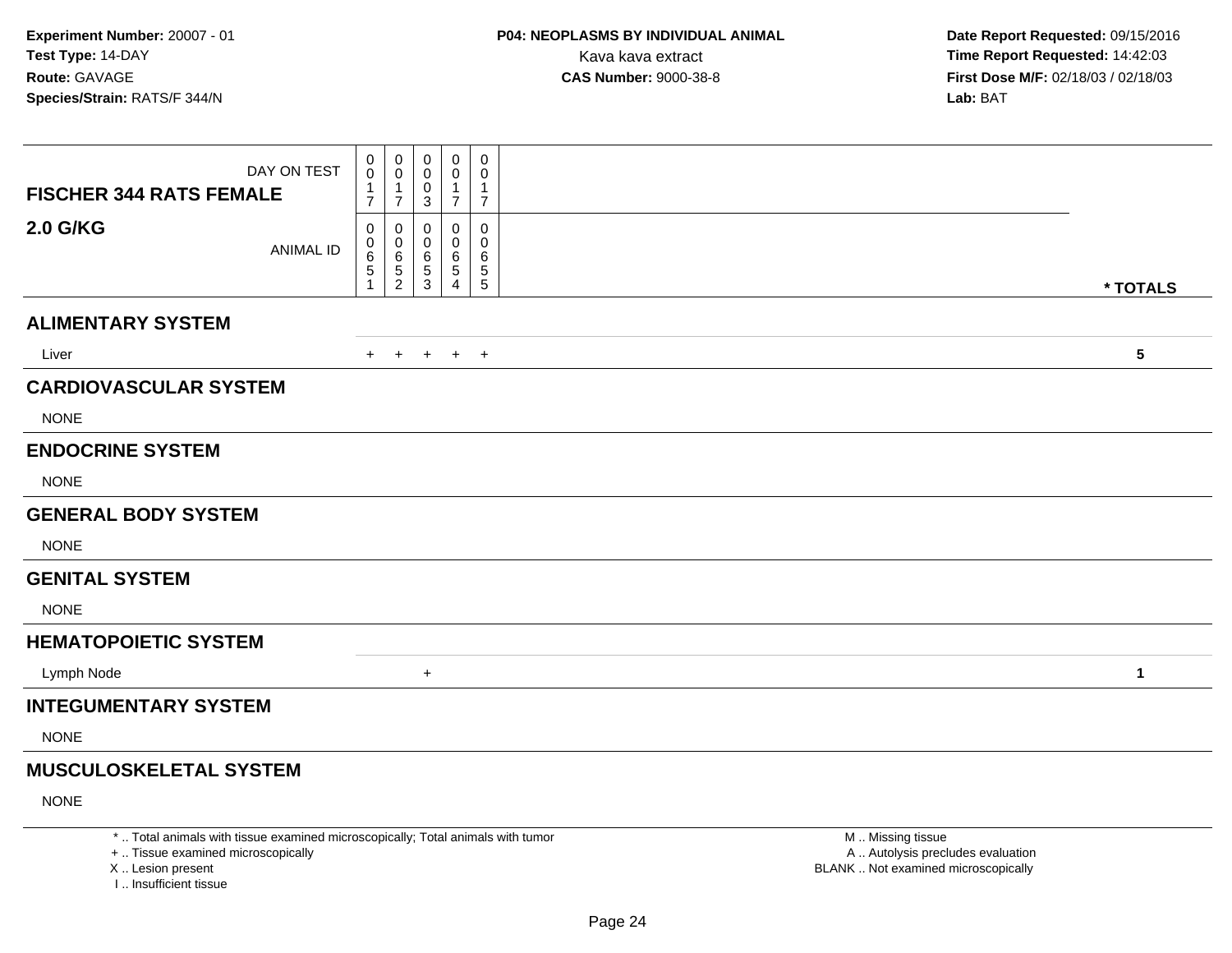| <b>FISCHER 344 RATS FEMALE</b> | DAY ON TEST      | 0<br>0<br>$\overline{7}$ | 0<br>$\mathbf 0$<br>$\mathbf{1}$<br>$\overline{7}$ | 0<br>0<br>0<br>3      | 0<br>0<br>$\overline{7}$                    | 0<br>0<br>$\overline{7}$                 |              |
|--------------------------------|------------------|--------------------------|----------------------------------------------------|-----------------------|---------------------------------------------|------------------------------------------|--------------|
| <b>2.0 G/KG</b>                | <b>ANIMAL ID</b> | 0<br>0<br>6<br>5         | 0<br>0<br>$\,6\,$<br>$\sqrt{5}$<br>$\sqrt{2}$      | 0<br>0<br>6<br>5<br>3 | 0<br>0<br>6<br>5<br>$\overline{\mathbf{4}}$ | 0<br>0<br>6<br>$\,$ 5 $\,$<br>$\sqrt{5}$ | * TOTALS     |
| <b>ALIMENTARY SYSTEM</b>       |                  |                          |                                                    |                       |                                             |                                          |              |
| Liver                          |                  | $+$                      | $+$                                                | $+$                   | $+$ $+$                                     |                                          | $\sqrt{5}$   |
| <b>CARDIOVASCULAR SYSTEM</b>   |                  |                          |                                                    |                       |                                             |                                          |              |
| <b>NONE</b>                    |                  |                          |                                                    |                       |                                             |                                          |              |
| <b>ENDOCRINE SYSTEM</b>        |                  |                          |                                                    |                       |                                             |                                          |              |
| <b>NONE</b>                    |                  |                          |                                                    |                       |                                             |                                          |              |
| <b>GENERAL BODY SYSTEM</b>     |                  |                          |                                                    |                       |                                             |                                          |              |
| <b>NONE</b>                    |                  |                          |                                                    |                       |                                             |                                          |              |
| <b>GENITAL SYSTEM</b>          |                  |                          |                                                    |                       |                                             |                                          |              |
| <b>NONE</b>                    |                  |                          |                                                    |                       |                                             |                                          |              |
| <b>HEMATOPOIETIC SYSTEM</b>    |                  |                          |                                                    |                       |                                             |                                          |              |
| Lymph Node                     |                  |                          |                                                    | $\ddot{}$             |                                             |                                          | $\mathbf{1}$ |
| <b>INTEGUMENTARY SYSTEM</b>    |                  |                          |                                                    |                       |                                             |                                          |              |
| <b>NONE</b>                    |                  |                          |                                                    |                       |                                             |                                          |              |
| <b>MUSCULOSKELETAL SYSTEM</b>  |                  |                          |                                                    |                       |                                             |                                          |              |
|                                |                  |                          |                                                    |                       |                                             |                                          |              |

NONE

\* .. Total animals with tissue examined microscopically; Total animals with tumor

+ .. Tissue examined microscopically

X .. Lesion present

I .. Insufficient tissue